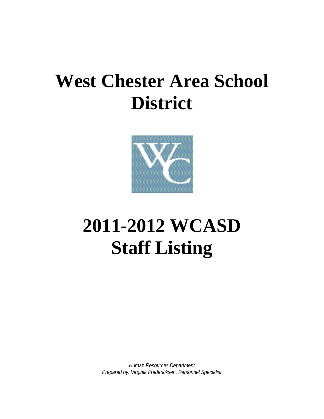# **West Chester Area School District**



# **2011-2012 WCASD Staff Listing**

*Human Resources Department Prepared by: Virginia Fredericksen, Personnel Specialist*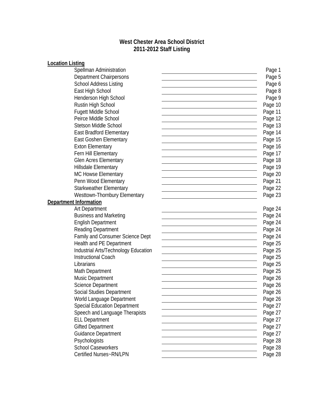### **West Chester Area School District 2011 -2012 Staff Listing**

### **Location Listing**

| Spellman Administration              | Page 1  |
|--------------------------------------|---------|
| <b>Department Chairpersons</b>       | Page 5  |
| <b>School Address Listing</b>        | Page 6  |
| East High School                     | Page 8  |
| Henderson High School                | Page 9  |
| Rustin High School                   | Page 10 |
| <b>Fugett Middle School</b>          | Page 11 |
| Peirce Middle School                 | Page 12 |
| <b>Stetson Middle School</b>         | Page 13 |
| <b>East Bradford Elementary</b>      | Page 14 |
| East Goshen Elementary               | Page 15 |
| <b>Exton Elementary</b>              | Page 16 |
| Fern Hill Elementary                 | Page 17 |
| <b>Glen Acres Elementary</b>         | Page 18 |
| Hillsdale Elementary                 | Page 19 |
| MC Howse Elementary                  | Page 20 |
| Penn Wood Elementary                 | Page 21 |
| <b>Starkweather Elementary</b>       | Page 22 |
| Westtown-Thornbury Elementary        | Page 23 |
| Department Information               |         |
| <b>Art Department</b>                | Page 24 |
| <b>Business and Marketing</b>        | Page 24 |
| <b>English Department</b>            | Page 24 |
| Reading Department                   | Page 24 |
| Family and Consumer Science Dept     | Page 24 |
| Health and PE Department             | Page 25 |
| Industrial Arts/Technology Education | Page 25 |
| <b>Instructional Coach</b>           | Page 25 |
| Librarians                           | Page 25 |
| Math Department                      | Page 25 |
| Music Department                     | Page 26 |
| Science Department                   | Page 26 |
| <b>Social Studies Department</b>     | Page 26 |
| World Language Department            | Page 26 |
| <b>Special Education Department</b>  | Page 27 |
| Speech and Language Therapists       | Page 27 |
| <b>ELL Department</b>                | Page 27 |
| <b>Gifted Department</b>             | Page 27 |
| Guidance Department                  | Page 27 |
| Psychologists                        | Page 28 |
| <b>School Caseworkers</b>            | Page 28 |
| Certified Nurses~RN/LPN              | Page 28 |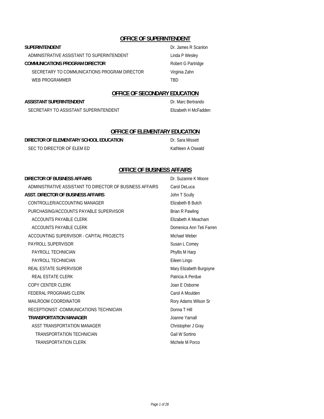### **OFFICE OF SUPERINTENDENT**

### **SUPERINTENDENT** Dr. James R Scanlon

ADMINISTRATIVE ASSISTANT TO SUPERINTENDENT **Linda P Wesley COMMUNICATIONS PROGRAM DIRECTOR** Robert G Partridge

SECRETARY TO COMMUNICATIONS PROGRAM DIRECTOR Virginia Zahn WEB PROGRAMMER TBD

### **OFFICE OF SECONDARY EDUCATION**

### **ASSISTANT SUPERINTENDENT** DR. Marc Bertrando

SECRETARY TO ASSISTANT SUPERINTENDENT Elizabeth H McFadden

### **OFFICE OF ELEMENTARY EDUCATION**

| DIRECTOR OF ELEMENTARY SCHOOL EDUCATION. | Dr. Sara Missett  |
|------------------------------------------|-------------------|
| SEC TO DIRECTOR OF ELEM ED               | Kathleen A Oswald |

### **OFFICE OF BUSINESS AFFAIRS**

### **DIRECTOR OF BUSINESS AFFAIRS DIRECTOR OF BUSINESS AFFAIRS**

ADMINISTRATIVE ASSISTANT TO DIRECTOR OF BUSINESS AFFAIRS Carol DeLuca **ASST. DIRECTOR OF BUSINESS AFFAIRS State of the Second Second Second Second Second Second Second Second Second Second Second Second Second Second Second Second Second Second Second Second Second Second Second Second Sec** CONTROLLER/ACCOUNTING MANAGER **Elizabeth B** Butch PURCHASING/ACCOUNTS PAYABLE SUPERVISOR Brian R Pawling ACCOUNTS PAYABLE CLERK Elizabeth A Meacham ACCOUNTS PAYABLE CLERK DOMENICAL DOMENICA Ann Teti Farren ACCOUNTING SUPERVISOR - CAPITAL PROJECTS Michael Weber PAYROLL SUPERVISOR Susan L Comey PAYROLL TECHNICIAN **Phyllis M Harp** PAYROLL TECHNICIAN Eileen Lingo REAL ESTATE SUPERVISOR **Mary Elizabeth Burgoyne** REAL ESTATE CLERK Patricia A Perdue COPY CENTER CLERK **COPY CENTER CLERK Joan E Osborne** FEDERAL PROGRAMS CLERK CAROL CAROL Carol A Moulden MAILROOM COORDINATOR **Roll And According to the Contract Contract Contract Contract Contract Contract Contract Contract Contract Contract Contract Contract Contract Contract Contract Contract Contract Contract Contract Con** RECEPTIONIST -COMMUNICATIONS TECHNICIAN DONNA THIL **TRANSPORTATION MANAGER CONSUMING THE CONSUMING TRANSPORTATION MANAGER** ASST TRANSPORTATION MANAGER Christopher J Gray **TRANSPORTATION TECHNICIAN** Gail W Sortino TRANSPORTATION CLERK Michele M Porco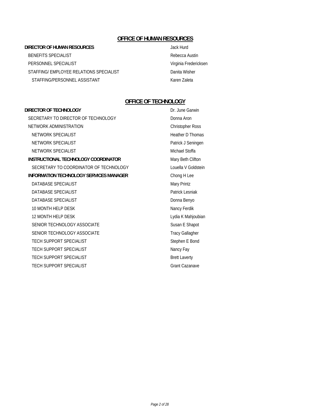### **OFFICE OF HUMAN RESOURCES**

### **DIRECTOR OF HUMAN RESOURCES** Jack Hurd

BENEFITS SPECIALIST **Rebecca** Austin PERSONNEL SPECIALIST Virginia Fredericksen STAFFING/ EMPLOYEE RELATIONS SPECIALIST **STATE ASSESSMENT** Danita Wisher STAFFING/PERSONNEL ASSISTANT Karen Zaleta

### **OFFICE OF TECHNOLOGY**

### **DIRECTOR OF TECHNOLOGY** DREAMS **DRECTOR OF TECHNOLOGY**

SECRETARY TO DIRECTOR OF TECHNOLOGY DONNA Aron NETWORK ADMINISTRATION Christopher Ross NETWORK SPECIALIST **NETWORK SPECIALIST** NETWORK SPECIALIST **Patrick J Seningen** NETWORK SPECIALIST **Michael Stoffa** Michael Stoffa **INSTRUCTIONAL TECHNOLOGY COORDINATOR** Mary Beth Clifton SECRETARY TO COORDINATOR OF TECHNOLOGY Louella V Goldstein **INFORMATION TECHNOLOGY SERVICES MANAGER** Chong H Lee DATABASE SPECIALIST Mary Printz DATABASE SPECIALIST **Patrick Lesniak** DATABASE SPECIALIST **DONNA BENYOU ACCORD ENGINEERING** Donna Benyo 10 MONTH HELP DESK Nancy Ferdik 12 MONTH HELP DESK Lydia K Mahjoubian SENIOR TECHNOLOGY ASSOCIATE SUSAN PROPERTY SUSAN E Shapot SENIOR TECHNOLOGY ASSOCIATE Tracy Gallagher TECH SUPPORT SPECIALIST STEPHEN STEPHEN Stephen E Bond TECH SUPPORT SPECIALIST Nancy Fay TECH SUPPORT SPECIALIST Brett Laverty TECH SUPPORT SPECIALIST **Grant Cazanave**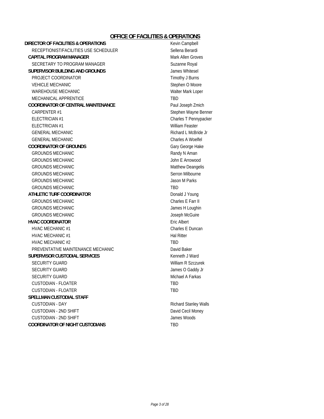### **OFFICE OF FACILITIES & OPERATIONS**

**DIRECTOR OF FACILITIES & OPERATIONS** MEASUREM CAMPBELL MEASUREMENT CAMPBELL RECEPTIONIST/FACILITIES USE SCHEDULER Sellena Berardi **CAPITAL PROGRAM MANAGER** MARIA ALLEN MARK Allen Groves SECRETARY TO PROGRAM MANAGER SUZAN SUZANNE Royal **SUPERVISOR BUILDING AND GROUNDS SUPERVISOR BUILDING AND GROUNDS** PROJECT COORDINATOR Timothy J Burns VEHICLE MECHANIC **Stephen O Moore** WAREHOUSE MECHANIC WAREHOUSE MECHANIC MECHANICAL APPRENTICE TBD COORDINATOR OF CENTRAL MAINTENANCE **Paul Joseph Zmich** CARPENTER #1 Stephen Wayne Benner ELECTRICIAN #1 Charles T Pennypacker ELECTRICIAN #1 William Feaster GENERAL MECHANIC **GENERAL MECHANIC Richard L McBride Jr** GENERAL MECHANIC Charles A Woelfel **COORDINATOR OF GROUNDS** Gary George Hake GROUNDS MECHANIC **Example 20** and the contract of the contract of the contract of the contract of the contract of the contract of the contract of the contract of the contract of the contract of the contract of the contract GROUNDS MECHANIC **GROUNDS MECHANIC CONSUMING A** GROUNDS MECHANIC **GROUNDS** Matthew Deangelis GROUNDS MECHANIC **Serron Milbourne** GROUNDS MECHANIC **GROUNDS** MECHANIC GROUNDS MECHANIC **TRD ATHLETIC TURF COORDINATOR** DONALD DONALD DONALD Young GROUNDS MECHANIC CHARLES EXAMPLES AND CHARLES EXAMPLES EVEN FAIR ON A CHARLES EVEN FAIR OF STATISTICS. GROUNDS MECHANIC SALL AND STRUCK AND STRUCK AND STRUCK AND STRUCK AND STRUCK AND STRUCK AND STRUCK AND STRUCK AND STRUCK AND STRUCK AND STRUCK AND STRUCK AND STRUCK AND STRUCK AND STRUCK AND STRUCK AND STRUCK AND STRUCK AN GROUNDS MECHANIC **GROUNDS** MCGuire **HVAC COORDINATOR** Eric Albert HVAC MECHANIC #1 Charles E Duncan HVAC MECHANIC #1 Hal Ritter HVAC MECHANIC #2 TBD PREVENTATIVE MAINTENANCE MECHANIC **David Baker SUPERVISOR CUSTODIAL SERVICES** Kenneth J Ward SECURITY GUARD WILLIAM WELL AND THE SECURITY GUARD WILLIAM WILLIAM WILLIAM WILLIAM WILLIAM WILLIAM WILLIAM WILLIAM WILLIAM WILLIAM WILLIAM WILLIAM WILLIAM WILLIAM WILLIAM WILLIAM WILLIAM WILLIAM WILLIAM WILLIAM WILLIAM WIL SECURITY GUARD GEORGIA AND SECURITY GUARD AND SECURITY GUARD AND SECURITY GUARD AND SECURITY OF A SAMPLE OF A SAMPLE OF A SAMPLE OF A SAMPLE OF A SAMPLE OF A SAMPLE OF A SAMPLE OF A SAMPLE OF A SAMPLE OF A SAMPLE OF A SAMP SECURITY GUARD Michael A Farkas CUSTODIAN - FLOATER TBD CUSTODIAN - FLOATER TBD **SPELLMAN CUSTODIAL STAFF** CUSTODIAN - DAY **Richard Stanley Walls** CUSTODIAN - 2ND SHIFT DAVID CUSTODIAN - 2ND SHIFT CUSTODIAN - 2ND SHIFT James Woods **COORDINATOR OF NIGHT CUSTODIANS TRD**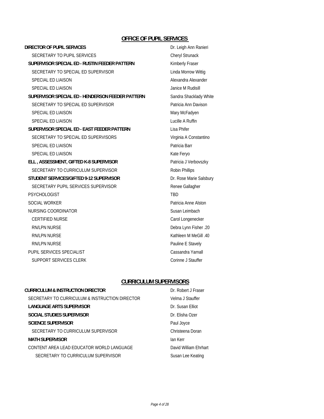### **OFFICE OF PUPIL SERVICES**

### **DIRECTOR OF PUPIL SERVICES** DREAMS DREAMS DR. Leigh Ann Ranieri SECRETARY TO PUPIL SERVICES Cheryl Strunack **SUPERVISOR SPECIAL ED - RUSTIN FEEDER PATTERN Kimberly Fraser** SECRETARY TO SPECIAL ED SUPERVISOR<br>
Linda Morrow Wittig SPECIAL ED LIAISON Alexander Alexander Alexander Alexander Alexander Alexander Alexander SPECIAL ED LIAISON **SPECIAL ED LIAISON SUPERVISOR SPECIAL ED - HENDERSON FEEDER PATTERN** Sandra Shacklady White SECRETARY TO SPECIAL ED SUPERVISOR Patricia Ann Davison SPECIAL ED LIAISON Mary McFadyen SPECIAL ED LIAISON **Lucille A Ruffin SUPERVISOR SPECIAL ED - EAST FEEDER PATTERN** Lisa Phifer SECRETARY TO SPECIAL ED SUPERVISORS Virginia A Constantino SPECIAL ED LIAISON **Patricia Barr** SPECIAL ED LIAISON Kate Feryo ELL, ASSESSMENT, GIFTED K-8 SUPERVISOR<br>
Patricia J Verbovszky SECRETARY TO CURRICULUM SUPERVISOR Robin Phillips **STUDENT SERVICES/GIFTED 9-12 SUPERVISOR** DT. Rose Marie Salsbury SECRETARY PUPIL SERVICES SUPERVISOR Renee Gallagher PSYCHOLOGIST TBD SOCIAL WORKER **Patricia Anne Alston** NURSING COORDINATOR **Susan Leimbach** Susan Leimbach CERTIFIED NURSE Carol Longenecker RN/LPN NURSE Debra Lynn Fisher .20 RN/LPN NURSE Kathleen M MeGill .40 RN/LPN NURSE Pauline E Stavely PUPIL SERVICES SPECIALIST Cassandra Yarnall SUPPORT SERVICES CLERK CORE CONTROL CORE CORE CONTROL CONTROL CONTROL CONTROL CONTROL CONTROL CONTROL CONTROL CONTROL CONTROL CONTROL CONTROL CONTROL CONTROL CONTROL CONTROL CONTROL CONTROL CONTROL CONTROL CONTROL CONTROL

### **CURRICULUM SUPERVISORS**

| CURRICULUM & INSTRUCTION DIRECTOR              | Dr. Robert J Fraser   |
|------------------------------------------------|-----------------------|
| SECRETARY TO CURRICULUM & INSTRUCTION DIRECTOR | Velma J Stauffer      |
| LANGUAGE ARTS SUPERVISOR                       | Dr. Susan Filiot      |
| SOCIAL STUDIES SUPERVISOR                      | Dr. Elisha Ozer       |
| <b>SCIENCE SUPERVISOR</b>                      | Paul Joyce            |
| SECRETARY TO CURRICULUM SUPERVISOR             | Christeena Doran      |
| <b>MATH SUPERVISOR</b>                         | lan Kerr              |
| CONTENT AREA LEAD EDUCATOR WORLD LANGUAGE      | David William Ehrhart |
| SECRETARY TO CURRICULUM SUPERVISOR             | Susan Lee Keating     |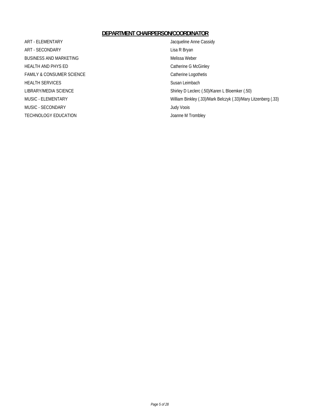### **DEPARTMENT CHAIRPERSON/COORDINATOR**

ART - ELEMENTARY **ART - ELEMENTARY Jacqueline Anne Cassidy** ART - SECONDARY Lisa R Bryan BUSINESS AND MARKETING Melissa Weber HEALTH AND PHYS ED Catherine G McGinley FAMILY & CONSUMER SCIENCE CALL CONSUMER SCIENCE HEALTH SERVICES Susan Leimbach MUSIC - SECONDARY Judy Voois TECHNOLOGY EDUCATION **SECULAR EXECUTES** Joanne M Trombley

LIBRARY/MEDIA SCIENCE Shirley D Leclerc (.50)/Karen L Bloemker (.50) MUSIC - ELEMENTARY William Binkley (.33)/Mark Belczyk (.33)/Mary Litzenberg (.33)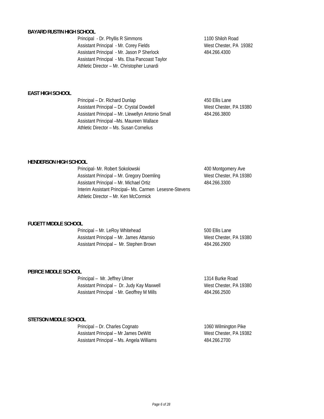### **BAYARD RUSTIN HIGH SCHOOL**

Principal - Dr. Phyllis R Simmons 1100 Shiloh Road Assistant Principal - Mr. Corey Fields West Chester, PA 19382 Assistant Principal - Mr. Jason P Sherlock 484.266.4300 Assistant Principal - Ms. Elsa Pancoast Taylor Athletic Director – Mr. Christopher Lunardi

### **EAST HIGH SCHOOL**

Principal – Dr. Richard Dunlap 450 Ellis Lane Assistant Principal – Dr. Crystal Dowdell West Chester, PA 19380 Assistant Principal – Mr. Llewellyn Antonio Small 484.266.3800 Assistant Principal –Ms. Maureen Wallace Athletic Director – Ms. Susan Cornelius

### **HENDERSON HIGH SCHOOL**

Principal- Mr. Robert Sokolowski 400 Montgomery Ave Assistant Principal – Mr. Gregory Doemling West Chester, PA 19380 Assistant Principal – Mr. Michael Ortiz 1984.266.3300 Interim Assistant Principal– Ms. Carmen Lesesne-Stevens Athletic Director – Mr. Ken McCormick

### **FUGETT MIDDLE SCHOOL**

Principal – Mr. LeRoy Whitehead 500 Ellis Lane Assistant Principal – Mr. James Attansio West Chester, PA 19380 Assistant Principal – Mr. Stephen Brown 484.266.2900

### **PEIRCE MIDDLE SCHOOL**

Principal – Mr. Jeffrey Ulmer 1314 Burke Road Assistant Principal - Dr. Judy Kay Maxwell West Chester, PA 19380 Assistant Principal - Mr. Geoffrey M Mills 484.266.2500

### **STETSON MIDDLE SCHOOL**

Principal – Dr. Charles Cognato 1060 Wilmington Pike Assistant Principal – Mr James DeWitt West Chester, PA 19382 Assistant Principal – Ms. Angela Williams 484.266.2700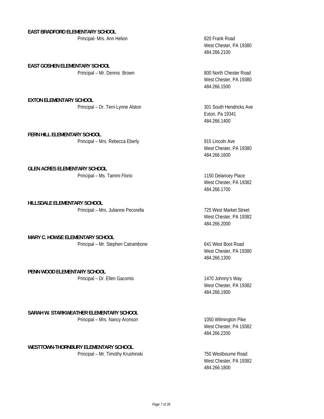### **EAST BRADFORD ELEMENTARY SCHOOL**

Principal- Mrs. Ann Helion 820 Frank Road

Principal – Mr. Dennis Brown 800 North Chester Road **EAST GOSHEN ELEMENTARY SCHOOL**

Principal – Dr. Terri-Lynne Alston 301 South Hendricks Ave **EXTON ELEMENTARY SCHOOL**

Principal – Mrs. Rebecca Eberly 915 Lincoln Ave **FERN HILL ELEMENTARY SCHOOL**

Principal – Ms. Tammi Florio 1150 Delancey Place **GLEN ACRES ELEMENTARY SCHOOL**

Principal – Mrs. Julianne Pecorella 725 West Market Street **HILLSDALE ELEMENTARY SCHOOL**

Principal – Mr. Stephen Catrambone 641 West Boot Road **MARY C. HOWSE ELEMENTARY SCHOOL**

**PENN WOOD ELEMENTARY SCHOOL**

Principal – Dr. Ellen Gacomis 1470 Johnny's Way

### **SARAH W. STARKWEATHER ELEMENTARY SCHOOL**

Principal – Mrs. Nancy Aronson 1050 Wilmington Pike

**WESTTOWN-THORNBURY ELEMENTARY SCHOOL**

Principal – Mr. Timothy Krushinski 750 Westbourne Road

West Chester, PA 19380 484.266.2100

West Chester, PA 19380 484.266.1500

Exton, Pa 19341 484.266.1400

West Chester, PA 19380 484.266.1600

West Chester, PA 19382 484.266.1700

West Chester, PA 19382 484.266.2000

West Chester, PA 19380 484.266.1300

West Chester, PA 19382 484.266.1900

West Chester, PA 19382 484.266.2200

West Chester, PA 19382 484.266.1800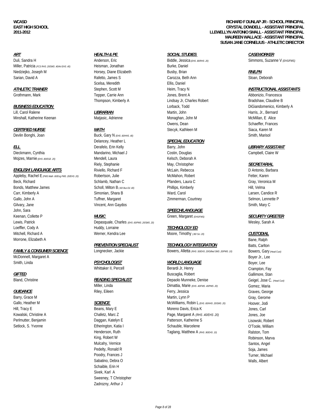Duli, Sandra H **Anderson, Eric** Biddle, Jessica (EHS .80/RHS .20) Simmons, Suzanne V (EHS/FMS) Miller, Patricia *(FCS RHS .20/SMS .40/Art EHS .40)* Heisman, Jonathan Burke, Daniel Niedziejko, Joseph M **RN/LPN** Horsey, Diane Elizabeth Busby, Brian **Bushy, Brian Bushy, Brian** Sarian, David A **Rafetto, James S** Carozza, Beth Ann Sloan, Deborah Sloan, Deborah

Lill, Carol Ralene *LIBRARIAN* Martin, John Harris, Jr., Bernard

Minshall, Katherine Keenan **Matiasic, Adrienne** Monaghan, John M McMillan, E Alice McMillan, E Alice

Dieckmann, Cynthia **Mandarino, Michael J** Costin, Douglas Costing Costing Costing Campbell, Claire W Mojzes, Marnie *(EHS .80/EGE .20)* Mendell, Laura Kelsch, Deborah A

Appleby, Rachel E <sub>(PMS Math .60Eng PMS .20/EHS .20) Robertson, Julie McMahon, Robert McMahon, Robert Fetter, Karen</sub> Beck, Richard Charles Contains Schlamb, Nathan C Charles Pfanders, Laura C Gray, Gray, Veronica M Bonds, Matthew James **Scholl, Milton B** (60/ Bus Ed. 40)<br>
Scholl, Milton B (60/ Bus Ed. 40)<br>
Phillips, Kimberly Hill, Velma Carr, Kimberly A Simonian, Shara B Ward, Carol Larsen, Candice R Gallo, John A **Tuffner, Margaret** Zimmerman, Courtney Selmon, Lennette P Culture P Gilvary, Jane Smith, Mary C Contract More Vincent, Ann Gaydos Contract and Smith, Mary C Contract More Smith, Mary C John, Sara *SPEECH/LANGUAGE* Keenan, Collette P *MUSIC* Green, Margaret *(EHS/FMS) SECURITY GREETER* Lewis, Patrick **Depasquale, Charles** *(EHS .60/PMS .20/SMS .20)* **Depasquale, Charles** *(EHS .60/PMS .20/SMS .20)* **Wesley, Sarah A** Loeffler, Cody A Huddy, Lorraine *TECHNOLOGY ED* Mitchell, Richard A **CUSTODIAL** Werner, Kendra Lee Moore, Timothy *(80/ Sci .20)* **CUSTODIAL** Morrone, Elizabeth A Bane, Ralph

McDonnell, Margaret A Boyer Jr., Lee Smith, Linda *PSYCHOLOGIST PSYCHOLOGIST WORLD LANGUAGE* **Boyer, Lee** 

Scelsa, Meredith **Ellis**, Daniel

Devlin Bonghi, Joan Smith, Marisol Buck, Gary N *(EHS .60HHS .40)* Smith, Marisol Smith, Marisol Smith, Marisol Delancey, Heather L *SPECIAL EDUCATION ELL* Derafelo, Erin Kelly Barry, John *LIBRARY ASSISTANT* Riely, Stephanie May, Christopher *SECRETARIAL ENGLISH/ LANGUAGE ARTS* Riviello, Richard F McLain, Rebecca D Antonio, Barbara

King, Robert W **Robinson, Marva** Mulcahy, Vernice Santos, Angel Pedelty, Ronald R Soja, James Poodry, Frances J **Turner, Michael** Sabatino, Debra O Walls, Albert November 2012, and the United States of Walls, Albert November 2013, and the U Schaible, Erin H Sivek, Karl A Sweeney, T Christopher Zadrozny, Arthur J

### *ART HEALTH & PE SOCIAL STUDIES CASEWORKER*

Grothmann, Mark **Tepper, Carrie Ann** Tepper, Carrie Ann Jones, Brent A Abbonizio, Francesca Thompson, Kimberly A **Lindsay Jr, Charles Robert** Bradshaw, Claudine B Owens, Dean Schaeffer, Frances *CERTIFIED NURSE MATH* Stecyk, Kathleen M Siaca, Karen M

### *PREVENTION SPECIALIST TECHNOLOGY INTEGRATION* Batts, Carlton

FAMILY & CONSUMER SCIENCE Longnecker, Jackie Bowers, Alletta *(RHS .50/EHS .20/Gifted SMS .20/PMS .10)* Bowers, Gary *(Head Cust)* 

Whittaker II, Percell **Berardi Jr, Henry Crampton, Fay CIFTED** GILLIMORE GALLIMORE GALLIMORE BUSCAGLIA, ROBERT GALLIMORE, STANDARD GALLIMORE, STANDARD GALLIMORE, STAN Bland, Christine **Capical Christine READING SPECIALIST** Depaolo Munneke, Denise Geigel, Jose C. (Head Cust) Miller, Linda **Dimattia, Marie** *(EHS .40FMS .40PMS .20)* Gomez, Maria **CUIDANCE** GUIDANCE GRAVES GEORGEN Riley, Elleen Ferry, Jessica Graves, Georgen Graves, Georgen Graves, Georgen Barry, Grace M Gray, Gerome Martin, American Martin, Lynn P Gray, Garage Gray, Gerome Gray, Gerome Gray, Gerome Gallo, Heather M **SCIENCE SCIENCE MCWilliams, Robin L** (EHS .60HHS .20/SMS .20) Hoover, Jodi Hill, Tracy E Geans, Mary E Geans, Mary E Moreno Davis, Erica K Geans, Hollands, Carl Kowalski, Christine A Chafetz, Marc Z Page, Margaret A *(RHS .40/EHS .20)* Jones, Joe Perlmutter, Benjamin Daggan, Katelyn E Patterson, Katherine S Lisowski, Robert Setlock, S. Yvonne **Etherington, Katia I** Schauble, Marcelene Component Compone, William<br>Henderson, Ruth Taglang, Matthew A (RHS. 90EHS. 10) Ralston. Tom Henderson, Ruth Taglang, Matthew A *(RHS .90/EHS .10)* Ralston, Tom

### **WCASD RICHARD F DUNLAP JR - SCHOOL PRINCIPAL EAST HIGH SCHOOL CRYSTAL DOWDELL - ASSISTANT PRINCIPAL 2011-2012 LLEWELLYN ANTONIO SMALL - ASSISTANT PRINCIPAL MAUREEN WALLACE - ASSISTANT PRINCIPAL SUSAN JANE CORNELIUS - ATHLETIC DIRECTOR**

### **ATHLETIC TRAINER** Stephen, Scott M **Heim, Tracy N** Heim, Tracy N **INSTRUCTIONAL ASSISTANTS**

**BUSINESS EDUCATION Lorback, Todd** DiGiandomenico, Cincordination and DiGiandomenico, Kimberly A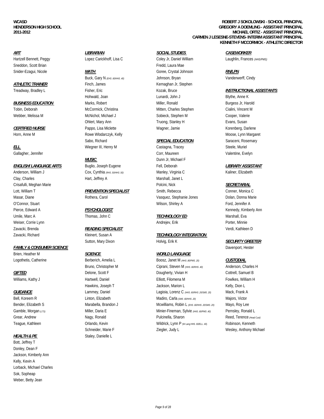Sneddon, Scott Brian Fredd, Laura Mae Channel Communication of the Channel Communication of the Fredd, Laura Mae

Pierce, Edward A *PSYCHOLOGIST* Annual A **PSYCHOLOGIST Kennedy, Kimberly Ann** Umile, Marc A **Thomas, John C TECHNOLOGY ED** Marshall, Eva Weiser, Corrie Lynn **Andrejev, Erik Porter, Minnie** Porter, Minnie Zavacki, Brenda *READING SPECIALIST* Verdi, Kathleen D

### *FAMILY & CONSUMER SCIENCE* Davenport, Hester

### **HEALTH & PE** Staley, Danielle L

Bott, Jeffrey T Donley, Dean F Jackson, Kimberly Ann Kelly, Kevin A Lorback, Michael Charles Sok, Sopheap Weber, Betty Jean

# *ART LIBRARIAN SOCIAL STUDIES CASEWORKER*

Buck, Gary N (EHS .60/HHS .40) **Johnson, Bryan** Vanderwerff, Cindy **ATHLETIC TRAINER** Finch, James **Finch, James** Kernaghan Jr, Stephen Hohwald, Joan Lunardi, John J Blythe, Anne K **BUSINESS EDUCATION Marks, Robert** Miller, Ronald Miller, Ronald Burgess Jr, Harold Tobin, Deborah **McCormick, Christina** Mitten, Charles Stephen Cialini, Vincent M<br>Mitten, Charles Stephen Cialini, Vincent M Webber, Melissa M **McNichol, Michael J** Sobieck, Stephen M Cooper, Valerie Ohlert, Mary Ann **Truong, Stanley H** Evans, Susan *CERTIFIED NURSE* Pappo, Lisa Miclette Wagner, Jamie Korenberg, Darlene Horn, Anne M **Rowe Wlodarczyk, Kelly** Moose, Lynn Margaret Moose, Lynn Margaret Moose, Lynn Margaret Sabo, Richard **SPECIAL EDUCATION** Saraceni, Rosemary **ELL** Steele, Muriel Castagna, Tracey Steele, Muriel Steele, Muriel

Clay, Charles **Example 2** Hart, Jeffrey A Marshall, Janet L

# Lott, William T **PREVENTION SPECIALIST** Smith, Rebecca Conner, Monica C

Snider-Ezagui, Nicole *MATH* Goree, Crystal Johnson *RN/LPN*

Gallagher, Jennifer Corr, Maureen Valentine, Evelyn *MUSIC* Dunn Jr, Michael F *ENGLISH/ LANGUAGE ARTS* Buglio, Joseph Eugene Fell, Deborah *LIBRARY ASSISTANT* Anderson, William J Cox, Cynthia (RHS .50/HHS .50) Manley, Virginia C Kaliner, Elizabeth Crisafulli, Meghan Marie Polcini, Nick *SECRETARIAL* Masar, Diane Rothera, Carol Vasquez, Stephanie Jones Dolan, Donna Marie O'Connor, Stuart Ford, Jennifer A Wilson, Shirley A Ford, Jennifer A

Zavacki, Richard Kleinert, Susan A *TECHNOLOGY INTEGRATION*  Sutton, Mary Dixon **Mary Dixon Holvig, Erik K SECURITY GREETER** 

### Brien, Heather M *SCIENCE WORLD LANGUAGE*

Logothetis, Catherine Berberich, Amelia L Boosz, Janet M *(HHS .80/PMS .20) CUSTODIAL* Bruno, Christopher M Ciprani, Steven M *(HHS .60/RHS .40)* Anderson, Charles H **CIFTED** CONTENTIEL DELONE, Scott F DOUGLARY, Vivian H Cottrell, Samuel B Cottrell, Samuel B Williams, Kathy J **Hartwell, Daniel Elliott**, Filomena M Fowlkes, William H Fowlkes And Fowlkes Hawkins, Joseph T **Jackson, Marion L** Jackson, Marion L Kelly, Dion L *GUIDANCE* Lammey, Daniel Lagioia, Lorenz C *(HHS .60/RHS .20/SMS .20)* Mack, Frank A Bell, Koreem R **Magiors, Victor** Linton, Elizabeth Madiro, Carla (SMS .60HHS 20) Majors, Victor Bender, Elizabeth S **Marabella, Brandon J** Mcwilliams, Robin L *(EHS .60NHS .20/SMS .20)* Mayo, Roy Lee Gamble, Morgan (LTS) **Miller, Daria E** Miller, Daria E Minier-Fineman, Sylvie (HHS.60PMS.40) Pernsley, Ronald L Grear, Andrew **Nagy, Ronald** Pulcinella, Sharon Reed, Terence (Head Cust) Teague, Kathleen **Cathlet Communist Communist Communist Communist Communist Communist Communist Communist Communist Communist Communist Communist Communist Communist Communist Communist Communist Communist Communist Commun** Schneider, Marie F **Ziegler, Judy L** Wesley, Anthony Michael

Hartzell Bennett, Peggy **Lopez Carickhoff, Lisa C** Coley Jr, Daniel William Laughlin, Frances *(HHS/PMS)* 

### Treadway, Bradley L. **Fisher, Eric** Fisher, Eric Kozak, Bruce *INSTRUCTIONAL ASSISTANTS*

### **WCASD ROBERT J SOKOLOWSKI - SCHOOL PRINCIPAL GREGORY A DOEMLING - ASSISTANT PRINCIPAL 2011-2012 MICHAEL ORTIZ - ASSISTANT PRINCIPAL CARMEN J LESESNE-STEVENS- INTERIM ASSISTANT PRINCIPAL KENNETH F MCCORMICK - ATHLETIC DIRECTOR**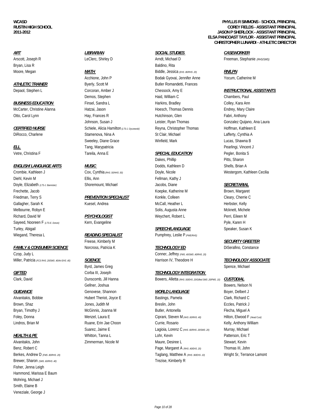Bryan, Lisa R<br>Baldino, Rita

### *ENGLISH/ LANGUAGE ARTS MUSIC* Dodds, Kathleen D Shells, Brian A

Crombie, Kathleen J Cox, Cynthia (RHS .50/HHS .50) Doyle, Nicole Westergom, Kathleen Cecilia Diehl, Kevin M **Ellis, Ann** Ellis, Ann Fellman, Kathy J Doyle, Elizabeth *(LTS-J. Bannister)* Shoremount, Michael Jacobs, Diane *SECRETARIAL* Frechette, Jacob **Koepke, Katherine M** Brown, Margaret Christene M Brown, Margaret Christene M Brown, Margaret Friedman, Terry S *PREVENTION SPECIALIST* Konkle, Colleen Cleary, Cherrie C Gallagher, Sarah K Kuesel, Andrea McCall, Heather L Herbster, Kelly Melbourne, Robyn E Solis, Augusta Anne Mcknett, Michele Richard, David W *PSYCHOLOGIST* Weychert, Robert L Perri, Eileen M Sayeed, Nooreen F *(LTS-E. Donze)* Kern, Evangeline **Kern, Evangeline** Pyle, Karen H Turley, Abigail *SPEECH/LANGUAGE* Speaker, Susan K Wiegand, Theresa L **READING SPECIALIST** Pumphrey, Leslie P <sub>(PWERHS)</sub>

### *FAMILY & CONSUMER SCIENCE* Norcross, Patricia K *TECHNOLOGY ED* DiSerafino, Constance

Miller, Patricia *(FCS RHS .20/SMS .40/Art EHS .40) SCIENCE* Harrison IV, Theodore H *TECHNOLOGY ASSOCIATE*

Brewer, Sharon *(SMS .60/RHS .40)* Trezise, Kimberly R Fisher, Jenna Leigh Hammond, Marissa E Baum Mohring, Michael J Smith, Elaine B Veneziale, George J

## *ART LIBRARIAN SOCIAL STUDIES CASEWORKER*

Acchione, John P Bodak Gyovai, Jennifer Anne Yocum, Catherine M **ATHLETIC TRAINER** Byerly, Scott M Byerly and Butler Romandetti, Frances Demos, Stephen **Haid, William C** Chambers, Paul **BUSINESS EDUCATION Finsel, Sandra L Finsel** Harkins, Bradley **Finsel** Colley, Kara Ann McCarter, Christine Alanna **Hatzai, Jason** Hatzai, Jason Hoesch, Thomas Dennis Endrey, Mary Claire Otto, Carol Lynn **Fabri, Anthony** Hay, Frances R **Hutchinson, Glen** Fabri, Anthony Johnson, Susan J Leister, Ryan Thomas Gonzalez Quijano, Ana Laura **CERTIFIED NURSE** Schiele, Alicia Hamilton *(LTS-J. Dyczewski)* Reyna, Christopher Thomas Hoffman, Kathleen E DiRocco, Charlene Stamenova, Nina A St Clair, Michael Lafferty, Cynthia A St Clair, Michael Lafferty, Cynthia A Sweeley, Diane Grace **Minfield**, Mark **Lucas**, Shawna B **ELL** Pearlingi, Vincent J Tang, Marypatricia **Pearlingi, Vincent J** Pearlingi, Vincent J Vetre, Christina F **Tareila, Anna E SPECIAL EDUCATION** Pegler, Bonita S

Byrd, James Greg Spence, Michael Gellner, Joshua Bowers, Nelson N *GUIDANCE* Genovese, Shannon *WORLD LANGUAGE* Boyer, Delbert J

Moore, Megan *MATH* Biddle, Jessica *(EHS .80/RHS .20) RN/LPN*

Dakes, Phillip **Pitts**, Sharon

Czop, Judy L Conner, Jeffrey *(FMS .40/SMS .40/RHS .20)*

### *GIFTED* Corba III, Joseph *TECHNOLOGY INTEGRATION*

Clark, David **Dunscomb, Jill Hanna** Bowers, Alletta *(RHS .50/EHS .20/Gifted SMS .20/PMS .10) CUSTODIAL* 

Alvanitakis, Bobbie **Hubert Theriot, Joyce E** Bastings, Pamela Clark, Richard C<br>
Bastings, Pamela Brown, Shaz **Government Communist Communist Shares** Jones, Judith M Breslin, John Breslin, John Eccles, Patrick J Bryan, Timothy J **McGinnis, Joanna M** Butler, Antonella **Flecha, Miquel A** Flecha, Miquel A Foley, Donna **Menzel, Laura E** Ciprani, Steven M (HHS .60RHS .40) Hilton, Elwood F (Head Cust) Lindros, Brian M **Ruane, Erin Jae Choon** Currie, Rosario **Currie, Rosario** Kelly, Anthony William Suarez, Jaime E Lagioia, Lorenz C (HHS .60/RHS .20/SMS .20) Murray, Michael **HEALTH & PE CONTAINGLY CONTAINGLY CONTAINGLY CONTAINGLY PROPERTY PATTERS AND RESIDENT PROPERTY PROPERTY PROPERTY** Alvanitakis, John Zimmerman, Nicole M Maure, Desiree L Stewart, Kevin Benz, Robert C Page, Margaret A *(RHS .40/EHS .20)* Thomas III, John Berkes, Andrew D *(FMS .80/RHS .20)* Taglang, Matthew A *(RHS .90/EHS .10)* Wright Sr, Terrance Lamont

### **WCASD PHYLLIS R SIMMONS - SCHOOL PRINCIPAL COREY FIELDS - ASSISTANT PRINCIPAL 2011-2012 JASON P SHERLOCK - ASSISTANT PRINCIPAL ELSA PANCOAST TAYLOR - ASSISTANT PRINCIPAL CHRISTOPHER LUNARDI - ATHLETIC DIRECTOR**

Arscott, Joseph R **CONFINGT Armore CONFINGT Array Armore Arnore Arnore Arnore Arnore Arnore CONFINGT Array Arnore Arnore CONFINGT Array Arnore CONFINGT Array Arnore CONFINGT Array Arnore CONFINGT Array Arnore CONFINGT Arra** 

### Depaol, Stephen L Corcoran, Amber J Chessock, Amy E *INSTRUCTIONAL ASSISTANTS*

### Freese, Kimberly M *SECURITY GREETER*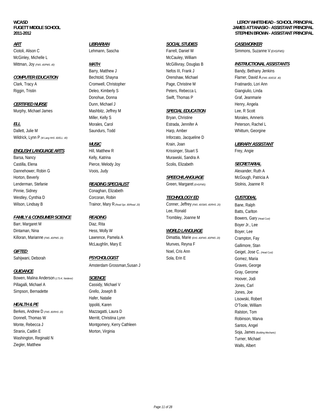McGinley, Michelle L McCauley, William

### **COMPUTER EDUCATION** Bechtold, Shayna **Bechtold, Shayna** Orenshaw, Michael Flamer, David A (FMS .60/EGE .40)

### **CERTIFIED NURSE Dunn, Michael J Dunn, Michael J Dunn, Angela Henry, Angela**

Dallett, Julie M Saundurs, Todd Harp, Amber Suite Minitum, Georgine Wildrick, Lynn P (WLang HHS .60/ELL .40) **Inforzato**, Jacqueline D

### **ENGLISH/ LANGUAGE ARTS** Hill, Matthew R **Krissinger, Stuart S** Frey, Angie

Barsa, Nancy **Kelly, Katrina Murawski, Sandra A** Castilla, Elena Pierce, Melody Joy Scolis, Elizabeth *SECRETARIAL* Dannehower, Robin G Voois, Judy Alexander, Ruth A Horton, Beverly *SPEECH/LANGUAGE* McGough, Patricia A Pinnie, Sidney Conaghan, Elizabeth

### **FAMILY & CONSUMER SCIENCE READING READING Trombley**, Joanne M **Bowers**, Gary *(Head Cust)*

Barr, Margaret M Diaz, Rita Boyer Jr., Lee Dintaman, Nina **Boyer, Lee Boyer, Lee Boyer, Lee Boyer, Lee Boyer, Lee Boyer, Lee Boyer, Lee** Killoran, Marianne *(FMS .40PMS .20)* Lawrence, Pamela A Dimattia, Marie *(EHS .40FMS .20)* Crampton, Fay

Bowen, Malina Anderson *(LTS-K. Neiderer) SCIENCE* Hoover, Jodi Pillagalli, Michael A Cassidy, Michael V Jones, Carl Simpson, Bernadette Grello, Joseph B Jones, Joe

Berkes, Andrew D *(FMS .80/RHS .20)* Mazzagatti, Laura D **Ralston, Tom** Ralston, Tom Donnell, Thomas W **Merritt, Christina Lynn** Robinson, Marva Robinson, Marva Robinson, Marva Monte, Rebecca J **Montgomery, Kerry Cathleen** Santos, Angel Santos, Angel Santos, Angel Santos, Angel Santos, Angel Santos, Angel Santos, Angel Santos, Angel Santos, Angel Santos, Angel Santos, Angel Santos, Angel Santos, Stranix, Caitlin E **Morton, Virginia** Morton, Virginia Soja, James *(Building Mechanic)* Soja, James *(Building Mechanic)* Washington, Reginald N Turner, Michael Ziegler, Matthew Walls, Albert

# *ART LIBRARIAN SOCIAL STUDIES CASEWORKER*

### Lenderman, Stefanie *READING SPECIALIST* Green, Margaret *(EHS/FMS)* Stolnis, Joanne R

Westley, Cynthia D Corcoran, Robin *TECHNOLOGY ED CUSTODIAL*

Amsterdam Grossman,Susan J Graves, George

Hafer, Natalie Lisowski, Robert *HEALTH & PE* Ippoliti, Karen O'Toole, William

Clark, Tracy A Cromwell, Christopher Page, Christine M Fratinardo, Lori Ann Riggin, Tristin Cassettin Deleo, Kimberly S Peters, Rebecca L Giangiulio, Linda Donohue, Donna **Swift, Thomas P** Graf, Jeanmarie

### Murphy, Michael James **Mashbitz, Jeffrey M SPECIAL EDUCATION** Lee, R Scott

Miller, Kelly S Bryan, Christine Morales, Amneris Morales, Amneris *ELL* Morales, Carol Estrada, Jennifer A Peterson, Rachel L

Wilson, Lindsay B **Trainor, Mary R** (Read Spc .80/Read .20) Conner, Jeffrey (FMS .40/SMS .40/RHS .20) Bane, Ralph Lee, Ronald Batts, Carlton

McLaughlin, Mary E **Municial Community** Munves, Reyna F Gallimore, Stan **GIFTED GIFTED GIGAL GIGAL GEOGREER Georgel**, Jose C. *(Head Cust)* Sahijwani, Deborah **PSYCHOLOGIST** Sola, Erin E Sola, Erin E Gomez, Maria

### **WCASD LEROY WHITEHEAD - SCHOOL PRINCIPAL FUGETT MIDDLE SCHOOL JAMES ATTANASIO - ASSISTANT PRINCIPAL 2011-2012 STEPHEN BROWN - ASSISTANT PRINCIPAL**

Ciotoli, Alison C Lehmann, Sascha Farrell, Daniel W Simmons, Suzanne V *(EHS/FMS)*

### Mittman, Joy (FMS.40/PMS.40) **MATH MATH MCGillivray, Douglas B INSTRUCTIONAL ASSISTANTS**

Barry, Matthew J **Nefos III, Frank J** Bandy, Bethany Jenkins

### *MUSIC* Krain, Joan *LIBRARY ASSISTANT*

*GUIDANCE* Gray, Gerome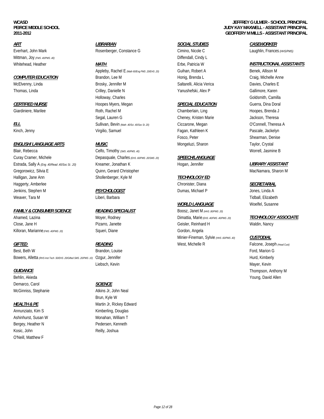**WCASD JEFFREY G ULMER - SCHOOL PRINCIPAL**

Mittman, Joy *(FMS .40/PMS .40)* Diffendall, Cindy L

### *ENGLISH/ LANGUAGE ARTS MUSIC* Mongeluzi, Sharon Taylor, Crystal

Haggerty, Amberlee **Chronister, Diana Chronister, Diana SECRETARIAL** Jenkins, Stephen M *PSYCHOLOGIST* Dumas, Michael P Jones, Linda A Weaver, Tara M **Music and Tidball**, Elizabeth Liberi, Barbara **Nuscomber 2018** Tidball, Elizabeth Tidball, Elizabeth

### *FAMILY & CONSUMER SCIENCE READING SPECIALIST* Boosz, Janet M *(HHS .80/PMS .20)*

Killoran, Marianne (FMS .40PMS .20) Squeri, Diane Gordon, Angela Gordon, Angela

Best, Beth W Brandon, Louise Example of the Standon, Louise Example of the Standon, Louise Example of the Standon, Louise Example of the Standon, Louise Example of the Standon, Louise Example of the Standon, Louise Example Bowers, Alletta *(RHS Inst Tech .50/EHS .20/Gifted SMS .20/PMS .10)* Ozgur, Jennifer Hurd, Kimberly

Behlin, Akieda Young, David Allen Demarco, Carol **SCIENCE** McGinniss, Stephanie **Atkins Jr, John Neal** 

Annunziato, Kim S<br>
Kimberling, Douglas Ashinhurst, Susan W Monahan, William T Bergey, Heather N Pedersen, Kenneth Kosic, John Reilly, Joshua O'Neill, Matthew F

### *ART LIBRARIAN SOCIAL STUDIES CASEWORKER* Everhart, John Mark **Rosenberger, Constance G** Cimino, Nicole C Laughlin, Frances *(HHS/PMS)*

Appleby, Rachel E *(Math 60/Eng PMS .20/EHS .20)* Guihan, Robert A Benek, Allison M **COMPUTER EDUCATION Brandon, Lee M Honig, Brenda L Honig, Brenda L** Craig, Michelle Anne McElvenny, Linda **Brosky, Jennifer M** Saltarelli, Alicia Verica Davies, Charles E Thomas, Linda **Crilley, Danielle N** Yanushefski, Alex P Gallimore, Karen Holloway, Charles Goldsmith, Camilla *CERTIFIED NURSE* Hoopes Myers, Megan *SPECIAL EDUCATION* Guerra, Dina Doral Giardiniere, Marilee **Rothern Chamberlain, Chamberlain, Ling Chamberlain**, Ling Hoopes, Brenda J Segal, Lauren G Cheney, Kristen Marie Jackson, Theresa *ELL* Sullivan, Bevin *(Math .40/Sci .40/Soc St .20)* Ciccarone, Megan O'Connell, Theresa A Kinch, Jenny **Example 20 Ningilio**, Samuel **Fagan, Kathleen K** Pascale, Jackelyn

Blair, Rebecca **Celfo, Timothy** *(SMS .40PMS .40)* Celfo, Timothy *(SMS .40PMS .40)* Worrell, Jasmine B Curay Cramer, Michele Depasquale, Charles *(EHS .60/PMS .20/SMS .20) SPEECH/LANGUAGE* Estrada, Sally A *(Eng. 40/Read .40/Soc St. 20)* Kreamer, Jonathan K Hogan, Jennifer **Hogan, Jennifer LIBRARY ASSISTANT** Gregorowicz, Silvia E **State Community Community** Cuinn, Gerard Christopher MacNamara, MacNamara, Sharon M Halligan, Jane Ann Shollenberger, Kyle M *TECHNOLOGY ED*

Liebsch, Kevin Mayer, Kevin

Brun, Kyle W **HEALTH & PE** Martin Jr, Rickey Edward

Fosco, Peter Shearman, Denise

### **WORLD LANGUAGE** Woelfel, Susanne

Ahamed, Lazina **Moyer, Rodney Moyer, Rodney** Dimattia, Marie (EHS .40FMS .40) **TECHNOLOGY ASSOCIATE** Close, Jane H Waldin, Nancy Pizarro, Janette Geisler, Reinhard H Waldin, Nancy Minier-Fineman, Sylvie *(HHS .60/PMS .40) CUSTODIAL* **GIFTED** READING READING READING READING READING READING READING READING READING READING READING READING READING

### **PEIRCE MIDDLE SCHOOL JUDY KAY MAXWELL - ASSISTANT PRINCIPAL 2011-2012 GEOFFERY M MILLS - ASSISTANT PRINCIPAL**

### Whitehead, Heather *MATH* Erbe, Patricia W *INSTRUCTIONAL ASSISTANTS*

**GUIDANCE** Thompson, Anthony M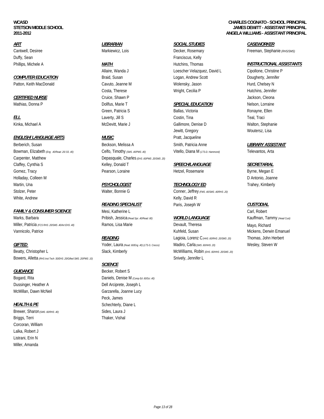Duffy, Sean Franciscus, Kelly

### **CERTIFIED NURSE** State of Cruice, Shawn P Cruice, Shawn P Jackson, Cleona

### *ENGLISH/ LANGUAGE ARTS MUSIC* Pratt, Jacqueline

Holladay, Colleen M D Antonio, Joanne Martin, Una *PSYCHOLOGIST TECHNOLOGY ED* Trahey, Kimberly Stolzer, Peter **Matter, Bonnie G** Conner, Jeffrey *(FMS .40SMS .40/RHS .20)* White, Andrew Kelly, David R

### **FAMILY & CONSUMER SCIENCE** Mesi, Katherine L Carl, Robert Carl, Robert Carl, Robert

Marks, Barbara **Pribish, Jessica** (Read Spc. 40/Read 60) *WORLD LANGUAGE* Kauffman, Tammy *(Head Cust)* Miller, Patricia *(FCS RHS .20/SMS .40/Art EHS .40)* Ramos, Lisa Marie Devault, Theresa Mayo, Richard Vannicolo, Patrice **Mickens, Derwin Emanuel** Controller Mickens, Derwin Emanuel Controller Mickens, Derwin Emanuel

Beatty, Christopher L **Slack, Kimberly McWilliams**, Robin *(EHS .60HHS .20/SMS .20)* Slack, Kimberly McWilliams, Robin *(EHS .60HHS .20/SMS .20)* Bowers, Alletta *(RHS Inst Tech .50/EHS .20/Gifted SMS .20/PMS .10)* Snively, Jennifer L

Dussinger, Heather A Dell Arciprete, Joseph L

Brewer, Sharon (SMS .60/RHS .40) Sides, Laura J Briggs, Terri Thaker, Vishal Corcoran, William Lalka, Robert J Listrani, Erin N Miller, Amanda

Berberich, Susan Beckson, Melissa A Smith, Patricia Anne *LIBRARY ASSISTANT* Bowman, Elizabeth *(Eng. A0Read .20/.SS. 40)* Celfo, Timothy *(SMS .40PMS .40)* Vitello, Diana M *(LTS-D. Hammond)* Televantos, Arta Carpenter, Matthew Depasquale, Charles *(EHS .60/PMS .20/SMS .20)* Claffey, Cynthia S Kelley, Donald T *SPEECH/LANGUAGE SECRETARIAL* Gomez, Tracy **Example 20 Systems** Pearson, Loraine **Hetzel, Rosemarie Byrne, Megan E** 

### *SCIENCE*

**GUIDANCE** Becker, Robert S Bogard, Rita **Branch Rita Comp Ed.** 60/Sci.40) McMillan, Dawn McNeil **Garzarella**, Joanne Lucy Peck, James **HEALTH & PE** Schechterly, Diane L

### *ART LIBRARIAN SOCIAL STUDIES CASEWORKER*

Allaire, Wanda J Loescher Velazquez, David L Cipollone, Christine P **COMPUTER EDUCATION** Braid, Susan Braid, Susan Logan, Andrew Scott Dougherty, Jennifer Patton, Keith MacDonald **Cavuto, Jeanne M** Wolensky, Jason Hurd, Chelsey N Hurd, Chelsey N Costa, Therese **Example 20** Wright, Cecilia P **Hutchins**, Jennifer

### Mathias, Donna P Dollfus, Marie T *SPECIAL EDUCATION* Nelson, Lorraine

Green, Patricia S<br>
Ballas, Victoria Christian Ronayne, Ellen *ELL* Laverty, Jill S Costin, Tina Teal, Traci Kinka, Michael A **McDevitt, Marie J** Gallimore, Denise D Walton, Stephanie Christene D Walton, Stephanie Jewitt, Gregory Woutersz, Lisa

*READING SPECIALIST* Paris, Joseph W *CUSTODIAL*

*READING* Lagioia, Lorenz C *(HHS .60/RHS .20/SMS .20)* Thomas, John Herbert *GIFTED* Yoder, Laura *(Read .60/Eng .40) (LTS-S. Crecco)* Madiro, Carla *(SMS .60/HHS .20)* Wesley, Steven W

### **WCASD CHARLES COGNATO - SCHOOL PRINCIPAL STETSON MIDDLE SCHOOL JAMES DEWITT - ASSISTANT PRINCIPAL 2011-2012 ANGELA WILLIAMS - ASSISTANT PRINCIPAL**

Cantwell, Desiree **Markiewicz, Lois** Decker, Rosemary **Freeman, Stephanie** *(RHS/SMS)* **Cantwell**, Desiree

### Phillips, Michele A *MATH MATH MATH MATH* **Integral and ASSISTANTS** *INSTRUCTIONAL ASSISTANTS*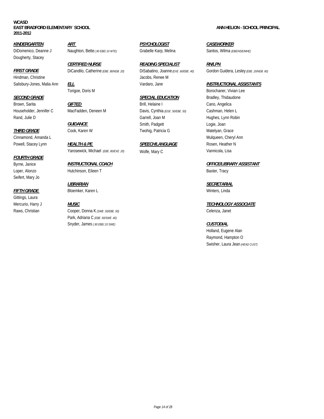### **WCASD EAST BRADFORD ELEMENTARY SCHOOL ANN HELION - SCHOOL PRINCIPAL 2011-2012**

Dougherty, Stacey

Hindman, Christine Jacobs, Renee M

### *FOURTH GRADE*

Seifert, Mary Jo

Gittings, Laura

### *KINDERGARTEN ART PSYCHOLOGIST CASEWORKER* DiDomenico, Deanne J Naughton, Bette *(.90 EBE/.10 WTE)* Grabelle Karp, Melina Santos, Wilma *(EBE/HDE/MHE)*

*CERTIFIED NURSE READING SPECIALIST RN/LPN* 

Powell, Stacey Lynn **HEALTH & PE** SPEECH/LANGUAGE Rosen, Heather N Yarosewick, Michael (EBE .80/EXE .20) Wolfe, Mary C Vannicola, Lisa

# Loper, Alonzo **Baxter, Tracy Hutchinson, Eileen T** Baxter, Tracy Baxter, Tracy

*LIBRARIAN SECRETARIAL FIFTH GRADE* Bloemker, Karen L Winters, Linda

Raws, Christian Cooper, Donna K *(SWE .50/EBE .50)* Celenza, Janet Park, Adriana C *(EBE .60/SWE .40)* Snyder, James *(.90 EBE/.10 SWE) CUSTODIAL*

Salisbury-Jones, Malia Ann *ELL* Vardaro, Jane *INSTRUCTIONAL ASSISTANTS*

### *SECOND GRADE SPECIAL EDUCATION* Bradley, Thidaudone Brown, Sarita **GIFTED GIFTED Brill, Helaine I** Cano, Angelica Householder, Jennifer C MacFadden, Deneen M Davis, Cynthia *(EGE .50/EBE .50)* Cashman, Helen L Rand, Julie D Garrell, Joan M Hughes, Lynn Robin **GUIDANCE** CONSERVING CONSERVING Smith, Padgett Conservative Logie, Joan

*FIRST GRADE* DiCandilo, Catherine *(EBE .80/NDB .20)* DiSabatino, Joanne *(EXE .60/EBE .40)* Gordon Guidera, Lesley *(EBE .20/NDB .60)*

Torigoe, Doris M Borochaner, Vivian Lee **THIRD GRADE** Cook, Karen W Twohig, Patricia G Matelyan, Grace Cinnamond, Amanda L **Mulqueen, Cheryl Ann** Cinnamond, Amanda L

Byrne, Janice *INSTRUCTIONAL COACH OFFICE/LIBRARY ASSISTANT*

Mercurio, Harry J *MUSIC TECHNOLOGY ASSOCIATE*

Holland, Eugene Alan Raymond, Hampton O Swisher, Laura Jean *(HEAD CUST)*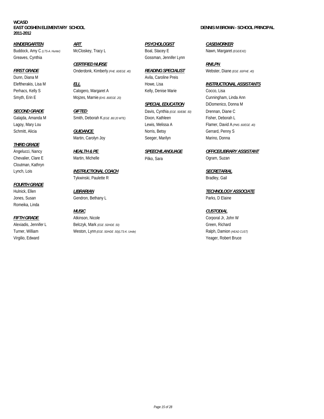*KINDERGARTEN ART PSYCHOLOGIST CASEWORKER* Buddock, Amy C (LTS-A. Hunter) McCloskey, Tracy L Boal, Stacey E Nawn, Margaret (EGE/EXE) Greaves, Cynthia Gossman, Jennifer Lynn

### *THIRD GRADE*

Cloutman, Kathryn

### *FOURTH GRADE*

Romeika, Linda

*CERTIFIED NURSE RN/LPN FIRST GRADE* Onderdonk, Kimberly *(FHE .60/EGE .40) READING SPECIALIST* Webster, Diane *(EGE .60/FHE .40)*

Perhacs, Kelly S Calogero, Margaret A Cocco, Lisa Cocco, Lisa Smyth, Erin E Mojzes, Marnie (EHS .80/EGE .20) Cunningham, Linda Ann

*SECOND GRADE GIFTED* Davis, Cynthia *(EGE .50/EBE .50)* Drennan, Diane C Galajda, Amanda M Smith, Deborah K *(EGE .80/.20 WTE)* Dixon, Kathleen Fisher, Deborah L

Lynch, Lois *INSTRUCTIONAL COACH SECRETARIAL* Tykwinski, Paulette R<br>Bradley, Gail

Jones, Susan **Gendron, Bethany L Community** Communication Communication Communication Communication Communication Communication Communication Communication Communication Communication Communication Communication Communic

**FIFTH GRADE Atkinson, Nicole Atkinson, Nicole Corporal Jr, John W Corporal Jr, John W** Alexiadis, Jennifer L **Belczyk, Mark** *(EGE .50/HDE .50)* **Green, Green, Richard** Green, Richard Turner, William Weston, Lynn (EGE .50HDE .50)(LTS-K. Umile) Ralph, Damion (HEAD CUST)

### **EAST GOSHEN ELEMENTARY SCHOOL DENNIS M BROWN - SCHOOL PRINCIPAL**

Dunn, Diana M Avila, Caroline Preis

**SPECIAL EDUCATION** DiDomenico, Donna M Schmitt, Alicia **GUIDANCE GUIDANCE Norris, Betsy** Gerrard, Penny S Martin, Carolyn Joy **Marting Carolyn Seeger, Marilyn** Martino, Donna Martino, Donna

Chevalier, Clare E **Martin, Michelle** Pilko, Sara **Pilko, Sara** Ogram, Suzan

### Eleftherakis, Lisa M *ELL* Howe, Lisa *INSTRUCTIONAL ASSISTANTS*

Lagoy, Mary Lou Lewis, Melissa A Flamer, David A *(PMS .60/EGE .40)*

Angelucci, Nancy *HEALTH & PE* SPEECH/LANGUAGE OFFICE/LIBRARY ASSISTANT

Hulnick, Ellen *LIBRARIAN TECHNOLOGY ASSOCIATE*

### *MUSIC CUSTODIAL*

Virgilio, Edward Yeager, Robert Bruce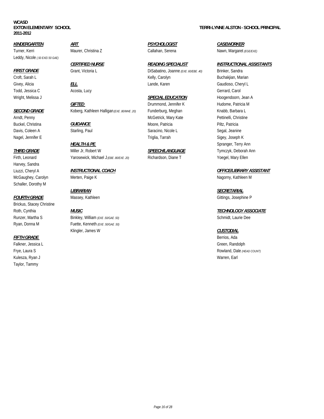Turner, Kerri **Maurer, Christina Z** Callahan, Serena Nawn, Margaret *(EGE/EXE)* Leddy, Nicole *(.50 EXE/.50 GAE)*

Todd, Jessica C **Acosta, Lucy Community Community Community** Gerrard, Carol

Harvey, Sandra Schaller, Dorothy M

### **FOURTH GRADE** Massey, Kathleen Massey, Kathleen Gittings, Josephine P

Brickus, Stacey Christine

### *FIFTH GRADE* Berrios, Ada

Falkner, Jessica L Green, Randolph Kulesza, Ryan J Warren, Earl Taylor, Tammy

*KINDERGARTEN ART PSYCHOLOGIST CASEWORKER*

**CIFTED CONFIGUAL CONFIGUAL CONFIGUAL CONFIGUAL CONFIGUAL CONFIGUAL CONFIGUAL CONFIGUAL CONFIGUAL CONFIGUAL M SECOND GRADE** Koberg, Kathleen Halligan (EXE. 80MHE.20) Funderburg, Meghan Knabb, Barbara L

*THIRD GRADE* Miller Jr, Robert W *SPEECH/LANGUAGE* Tymczyk, Deborah Ann Firth, Leonard Yarosewick, Michael J (EBE .80/EXE .20) Richardson, Diane T Yoegel, Mary Ellen

McGaughey, Carolyn **Merten, Paige K** Nagorny, Kathleen M

Runzer, Martha S **Binkley, William (EXE .50/GAE .50)** Schmidt, Laurie Dee Ryan, Donna M Fuette, Kenneth *(EXE .50/GAE .50)* Klingler, James W *CUSTODIAL*

*FIRST GRADE* Grant, Victoria L DiSabatino, Joanne *(EXE .60/EBE .40)* Brinker, Sandra Croft, Sarah L **Croft, Sarah L** Croft, Sarah L **Buchakjian, Marian** 

### Wright, Melissa J *SPECIAL EDUCATION* Hoogendoorn, Jean A

Arndt, Penny **Armorian Community Community Community** Christian McGetrick, Mary Kate **Pettinelli, Christine** Buckel, Christina *GUIDANCE* **Moore, Patricia Moore, Patricia** Piltz, Patricia Davis, Coleen A Starling, Paul Starling, Paul Saracino, Nicole L Segal, Jeanine Nagel, Jennifer E **Triglia, Tarrah Sigey, Joseph K** Triglia, Tarrah Sigey, Joseph K

### *CERTIFIED NURSE READING SPECIALIST INSTRUCTIONAL ASSISTANTS*

Givey, Alicia **ELL** ELL **ELL** Lande, Karen Gaudioso, Cheryl Lande, ELL Cheryl Lande, Karen Gaudioso, Cheryl L **HEALTH & PE Spranger, Terry Ann** 

### Liuzzi, Cheryl A *INSTRUCTIONAL COACH OFFICE/LIBRARY ASSISTANT*

*LIBRARIAN SECRETARIAL*

Roth, Cynthia *MUSIC TECHNOLOGY ASSOCIATE*

Frye, Laura S Rowland, Dale *(HEAD COUNT)* Rowland, Dale *(HEAD COUNT)* Rowland, Dale *(HEAD COUNT)* 

### **EXTON ELEMENTARY SCHOOL TERRI-LYNNE ALSTON - SCHOOL PRINCIPAL**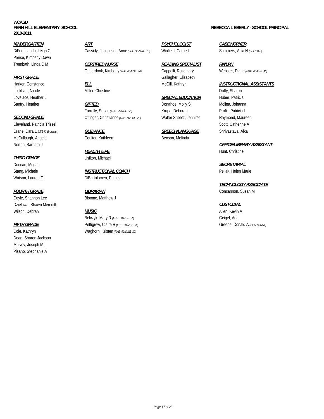### **WCASD 2010-2011**

Parise, Kimberly Dawn

Lovelace, Heather L *SPECIAL EDUCATION* Huber, Patricia

Cleveland, Patricia Trissel Scott, Catherine A Crane, Dara L *(LTS-K. Brewster) GUIDANCE SPEECH/LANGUAGE* Shrivastava, Alka McCullough, Angela **Coulter, Kathleen** Benson, Melinda Benson, Melinda

Duncan, Megan *SECRETARIAL*

Coyle, Shannon Lee Bloome, Matthew J Dzielawa, Shawn Meredith *CUSTODIAL* Wilson, Debrah *MUSIC* Allen, Kevin A

Dean, Sharon Jackson Mulvey, Joseph M Pisano, Stephanie A

*KINDERGARTEN ART PSYCHOLOGIST CASEWORKER* DiFerdinando, Leigh C Cassidy, Jacqueline Anne (FHE .905WE .10) Winfield, Carrie L Summers, Asia N (FHE/GAE)

Trembath, Linda C M *CERTIFIED NURSE READING SPECIALIST RN/LPN*  Onderdonk, Kimberly (FHE .60/EGE .40) Cappelli, Rosemary Webster, Diane *(EGE .60/FHE .40)* 

Santry, Heather **Santry, Heather GIFTED GIFTED CONFIGENTS Donahoe, Molly S** Molina, Johanna Farrelly, Susan (FHE .50/MHE .50) Krupa, Deborah Profili, Patricia L **SECOND GRADE Ottinger, Christianne** *(GAE .80/FHE .20)* Walter Sheetz, Jennifer Raymond, Maureen

**HEALTH & PE Hunt, Christine** *THIRD GRADE* Usilton, Michael

Stang, Michele **INSTRUCTIONAL COACH Pellak, Helen Marie** Pellak, Helen Marie Watson, Lauren C **DiBartolomeo**, Pamela

Belczyk, Mary R (FHE .50/MHE .50) **Geigel, Ada FIFTH GRADE** Pettigrew, Claire R (FHE .50/MHE .50) CGREETH GRADES CONDUCT A GREENE, Donald A (HEAD CUST) Cole, Kathryn Waghorn, Kristen *(FHE .90/SWE .10)*

**FIRST GRADE** Gallagher, Elizabeth Harker, Constance *ELL* McGill, Kathryn *INSTRUCTIONAL ASSISTANTS*

Lockhart, Nicole Miller, Christine Duffy, Sharon

Norton, Barbara J *OFFICE/LIBRARY ASSISTANT*

*TECHNOLOGY ASSOCIATE FOURTH GRADE LIBRARIAN* Concannon, Susan M

### **FERN HILL ELEMENTARY SCHOOL REBECCA L EBERLY - SCHOOL PRINCIPAL**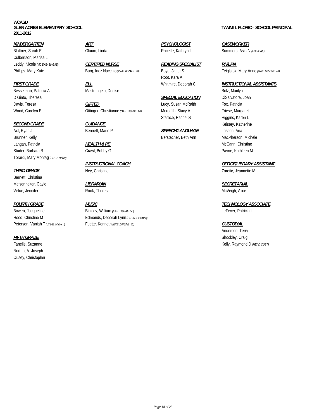*KINDERGARTEN ART PSYCHOLOGIST CASEWORKER*

Blattner, Sarah E Glaum, Linda Racette, Kathryn L Summers, Asia N *(FHE/GAE)* Culbertson, Marisa L

Besselman, Patricia A **Mastrangelo, Denise** Bolz, Marilyn Bolz, Marilyn Bolz, Marilyn

### *SECOND GRADE GUIDANCE* Keirsey, Katherine

Axt, Ryan J **Bennett, Marie P SPEECH/LANGUAGE** Lassen, Ana Brunner, Kelly **Berstecher, Beth Ann** MacPherson, Michele Langan, Patricia *HEALTH & PE HEALTH & PE HEALTH & PE McCann***, Christine** Studer, Barbara B **Crawl, Bobby G** Payne, Kathleen M Payne, Kathleen M Torardi, Mary Montag *(LTS-J. Heller)*

Barnett, Christina Meisenhelter, Gayle *LIBRARIAN SECRETARIAL* Virtue, Jennifer **McVeigh, Alice** Rook, Theresa **McVeigh, Alice** McVeigh, Alice

Peterson, Vaniah T *(LTS-E. Mattern)* Fuette, Kenneth *(EXE .50/GAE .50) CUSTODIAL*

### *FIFTH GRADE* Shockley, Craig

Norton, A Joseph Ousey, Christopher

Leddy, Nicole *(.50 EXE/.50 GAE) CERTIFIED NURSE READING SPECIALIST RN/LPN*  Phillips, Mary Kate **Burg, Inez Nacchio** (PWE .60/GAE .40) Boyd, Janet S Feiglstok, Mary Anne *(GAE .60/PWE .40)* 

Davis, Teresa *GIFTED* Lucy, Susan McRaith Fox, Patricia Wood, Carolyn E **Carolyn E** Ottinger, Christianne (GAE .80/FHE .20) Meredith, Stacy A Friese, Margaret

Bowen, Jacqueline **Binkley, William** (*EXE .50/GAE .50)* Channel Binkley, Patricia L. Efever, Patricia L. Hood, Christine M **Edmonds**, Deborah Lynn (LTS-N. Palombo)

Root, Kara A

D Ginto, Theresa *SPECIAL EDUCATION* DiSalvatore, Joan

*FIRST GRADE ELL* Whitmire, Deborah C *INSTRUCTIONAL ASSISTANTS*

Starace, Rachel S
Higgins, Karen L

### *INSTRUCTIONAL COACH OFFICE/LIBRARY ASSISTANT*

**THIRD GRADE** Ney, Christine News Christine **News Account 2016** 201etic, Jeannette M

*FOURTH GRADE MUSIC TECHNOLOGY ASSOCIATE*

Anderson, Terry Fanelle, Suzanne **Kelly, Raymond D** (*HEAD CUST)* **Kelly, Raymond D** (*HEAD CUST)* 

### **GLEN ACRES ELEMENTARY SCHOOL TAMMI L FLORIO - SCHOOL PRINCIPAL**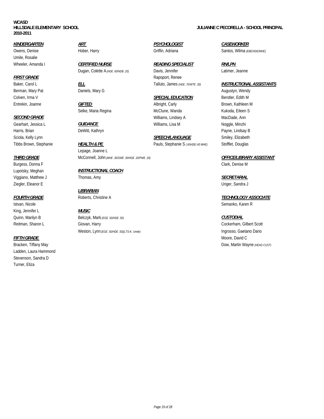### **WCASD HILLSDALE ELEMENTARY SCHOOL JULIANNE C PECORELLA - SCHOOL PRINCIPAL 2010-2011**

### *KINDERGARTEN ART PSYCHOLOGIST CASEWORKER*

Owens, Denise **Hober, Harry Communisty Criffin, Adriana** Santos, Wilma *(EBE/HDEMHE)* Umile, Rosalie

Berman, Mary Pat **Daniels, Mary G Community** Community Community Community Community Community Community Community Community Community Community Community Community Community Community Community Community Community Commu

Gearhart, Jessica L *GUIDANCE* Williams, Lisa M Noggle, Minzhi Harris, Brian DeWitt, Kathryn Payne, Lindsay B

Burgess, Donna F Clark, Denise M Ziegler, Eleanor E Unger, Sandra J

King, Jennifer L *MUSIC*

Ladden, Laura Hammond Stevenson, Sandra D Turner, Eliza

Wheeler, Amanda I *CERTIFIED NURSE READING SPECIALIST RN/LPN*  Dugan, Colette A *(HDE .60/NDB .20)* Davis, Jennifer Latimer, Jeanne

Tibbs Brown, Stephanie *HEALTH & PE* Pauls, Stephanie S *(.60HDE/.40 MHE)* Stofflet, Douglas Lepage, Joanne L *THIRD GRADE* McConnell, John *(MHE .30/SWE .30/HDE .20/PWE .20) OFFICE/LIBRARY ASSISTANT*

Lupotsky, Meghan *INSTRUCTIONAL COACH* Viggiano, Matthew J Thomas, Amy *SECRETARIAL*

*LIBRARIAN*

Quinn, Marilyn B Belczyk, Mark *(EGE .50/HDE .50) CUSTODIAL* Reitman, Sharon L<br>
Cockerham, Gilbert Scott<br>
Cockerham, Gilbert Scott Weston, Lynn (EGE .50/HDE .50)(LTS-K. Umile) **Ingrosso, Gaetano Dario** 

**FIRST GRADE** Rapoport, Renee Baker, Carol L *ELL* Talluto, James *(HDE .70/WTE .30) INSTRUCTIONAL ASSISTANTS*

### Colven, Irma V *SPECIAL EDUCATION* Berstler, Edith M

Entrekin, Joanne *GIFTED* Albright, Carly Brown, Kathleen M Selke, Maria Regina **McClune, Wanda** Kukoda, Eileen S *SECOND GRADE* Williams, Lindsey A MacDade, Ann

Sciola, Kelly Lynn **SPEECH/LANGUAGE** Smiley, Elizabeth

*FOURTH GRADE* Roberts, Christine A *TECHNOLOGY ASSOCIATE*

Istvan, Nicole Semanko, Karen R

**FIFTH GRADE** Moore, David C Bracken, Tiffany May **Dow, Martin Wayne** *(HEAD CUST)*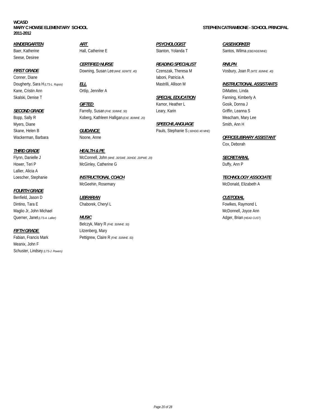Seese, Desiree

Conner, Diane Iaboni, Patricia A Kane, Cristin Ann **Canadian Containstant Containstant A** Containst A DiMatteo, Linda Containst A DiMatteo, Linda Skalski, Denise T *SPECIAL EDUCATION* Fanning, Kimberly A

Lallier, Alicia A

### *FOURTH GRADE*

Benfield, Jason D *LIBRARIAN CUSTODIAL* Dintino, Tara E Chaborek, Cheryl L Chaborek, Cheryl L Chaborek, Cheryl L Fowlkes, Raymond L Maglio Jr, John Michael McDonnell, Joyce Ann McDonnell, Joyce Ann McDonnell, Joyce Ann McDonnell, Joyce Ann McDonnell, Joyce Ann McDonnell, Joyce Ann McDonnell, Joyce Ann McDonnell, Joyce Ann McDonnell, Joyce Ann McDonnell Querner, Janet *(LTS-A. Lallier) MUSIC* Adger, Brian *(HEAD CUST)*

Meanix, John F Schuster, Lindsey *(LTS-J. Powers)*

*CERTIFIED NURSE READING SPECIALIST RN/LPN* 

**CIFTED GIFTED COSE COSE COSE COST GOST GOST GOST GOST GOST SECOND GRADE** Farrelly, Susan (FHE .50/MHE .50) Leary, Karin Leary and Griffin, Leanna S Bopp, Sally R Koberg, Kathleen Halligan (EXE. 80/MHE .20) Company Lee Meacham, Mary Lee

### *THIRD GRADE HEALTH & PE*

Flynn, Danielle J McConnell, John *(MHE .30/SWE .30/HDE .20/PWE .20) SECRETARIAL* Hower, Teri P **McGinley, Catherine G Community Properties Duffy, Ann P Duffy, Ann P** 

McGeehin, Rosemary **McDonald**, Elizabeth A

Belczyk, Mary R *(FHE .50/MHE .50) FIFTH GRADE* Litzenberg, Mary Fabian, Francis Mark Pettigrew, Claire R *(FHE .50/MHE .50)*

*KINDERGARTEN ART PSYCHOLOGIST CASEWORKER* Baer, Katherine **Mall, Catherine E** Stanton, Yolanda T Santos, Wilma *(EBE/HDE/MHE)* 

Myers, Diane *SPEECH/LANGUAGE* Smith, Ann H Skane, Helen B **GUIDANCE GUIDANCE Pauls**, Stephanie S (60HDE/40 MHE)

*FIRST GRADE* Downing, Susan Lee *(MHE .60/WTE .40)* Czenszak, Theresa M Vosbury, Joan R *(WTE .60/MHE .40)*

### Dougherty, Sara H *(LTS-L. Rupsis) ELL* Mastrilli, Allison M *INSTRUCTIONAL ASSISTANTS*

Wackerman, Barbara Noone, Anne *OFFICE/LIBRARY ASSISTANT*

Cox, Deborah

Loescher, Stephanie *INSTRUCTIONAL COACH TECHNOLOGY ASSOCIATE*

### **MARY C HOWSE ELEMENTARY SCHOOL STEPHEN CATRAMBONE - SCHOOL PRINCIPAL**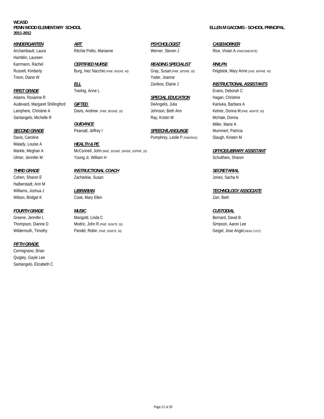Hamblin, Laureen Treon, Diane W Yoder, Joanne

Adams, Roxanne R *SPECIAL EDUCATION* Hagan, Christine Audevard, Margaret Shillingford *GIFTED* DeAngelis, Julia Kaniuka, Barbara A Lamphere, Christine A Davis, Andrew *(PWE .80/SWE .20)* Johnson, Beth Ann Ketner, Donna M *(PWE .40/WTE .60)* Santangelo, Michelle R<br>
Ray, Kristin M McHale, Donna McHale, Donna McHale, Donna McHale, Donna McHale, Donna McHale, Donna

Malady, Louise A *HEALTH & PE* 

Halberstadt, Ann M Wilson, Bridget K Cook, Mary Ellen Zarr, Beth Zarr, Beth

### *FIFTH GRADE*

Cermignano, Brian Quigley, Gayle Lee Santangelo, Elizabeth C

*KINDERGARTEN ART PSYCHOLOGIST CASEWORKER*

Karrmann, Rachel *CERTIFIED NURSE READING SPECIALIST RN/LPN* 

Markle, Meghan A McConnell, John *(MHE .30/SWE .30/HDE .20/PWE .20) OFFICE/LIBRARY ASSISTANT* Ulmer, Jennifer M Schultheis, Sharon Noung Jr, William H Schultheis, Sharon Schultheis, Sharon Schultheis, Sharon

*THIRD GRADE INSTRUCTIONAL COACH SECRETARIAL* Cohen, Sharon E Zacharkiw, Susan **Zacharkiw, Susan Jones, Sacha N** 

### *FOURTH GRADE MUSIC CUSTODIAL* Greene, Jennifer L. Mangold, Linda C and Bernard, David B. Bernard, David B. Bernard, David B. Thompson, Dianne D Modric, John R (PWE 50WTE 50) Simpson, Aaron Lee

**SECOND GRADE Pearsall, Jeffrey I Pearsall Pearsall Pearsall Pearsall Pearsall Pearsall Pearsall Pearsall Pearsall Pearsall Pearsall Pearsall Pearsall Pearsall Pearsall Pearsall Pearsall** Davis, Caroline Pumphrey, Leslie P *(PWE/RHS)* Slaugh, Kirsten M

Williams, Joshua J *LIBRARIAN TECHNOLOGY ASSOCIATE*

Wildermuth, Timothy **Pandel, Robin**  $\rho$ *WE .50/WTE .50*) Geigel, Jose Angel (*HEAD CUST*)

**PENN WOOD ELEMENTARY SCHOOL ELLEN M GACOMIS - SCHOOL PRINCIPAL**

Archambault, Laura Ritchie Polito, Marianne Werner, Steven J Rice, Vivian A *(PWE/SWE/WTE)*

Russell, Kimberly Burg, Inez Nacchio *(PWE .60/GAE .40)* Gray, Susan *(PWE .50/SWE .50)* Feiglstok, Mary Anne *(GAE .60/PWE .40)*

### *ELL* Zanikos, Elaine J *INSTRUCTIONAL ASSISTANTS*

**FIRST GRADE** Twohig, Anne L **The Evans, Deborah C** Evans, Deborah C **GUIDANCE** Miller, Marie A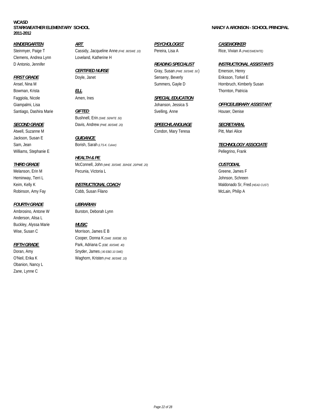Bowman, Krista *ELL* Thornton, Patricia Faggiola, Nicole **Amen, Ines** Amen, Ines **SPECIAL EDUCATION** 

Jackson, Susan E *GUIDANCE*  Williams, Stephanie E **Pellegrino, Frank** 

Heminway, Terri L Johnson, Schreen

### *FOURTH GRADE LIBRARIAN*

Ambrosino, Antone W Burston, Deborah Lynn Anderson, Alisa L Buckley, Alyssa Marie *MUSIC* Wise, Susan C Morrison, James E B

Obanion, Nancy L Zane, Lynne C

*KINDERGARTEN ART PSYCHOLOGIST CASEWORKER* Steinmyer, Paige T Cassidy, Jacqueline Anne (FHE .90/SWE .10) Pereira, Lisa A Rice, Vivian A (PWE/SWE/WTE) Clemens, Andrea Lynn Loveland, Katherine H

Santiago, Dashira Marie **GIFTED Syelling, Anne** Svelling, Anne Houser, Denise Bushnell, Erin *(SWE .50/WTE .50) SECOND GRADE* Davis, Andrew *(PWE .80/SWE .20) SPEECH/LANGUAGE SECRETARIAL*

*HEALTH & PE THIRD GRADE* McConnell, John *(MHE .30/SWE .30/HDE .20/PWE .20) CUSTODIAL* Melanson, Erin M **Pecunia, Victoria L** Greene, James F Greene, James F Greene, James F

Robinson, Amy Fay Cobb, Susan Filano McLain, Philip A McLain, Philip A

Cooper, Donna K *(SWE .50/EBE .50) FIFTH GRADE* Park, Adriana C *(EBE .60/SWE .40)* Doran, Amy Snyder, James *(.90 EBE/.10 SWE)* O'Neil, Erika K Waghorn, Kristen *(FHE .90/SWE .10)*

*CERTIFIED NURSE* Gray, Susan *(PWE .50/SWE .50* ) Emerson, Henry **FIRST GRADE** Doyle, Janet **Senseny, Beverly Senseny, Beverly Senseny** Eriksson, Torkel E Ansel, Nina M **Ansel**, Nina M Summers, Gayle D **Summers, Gayle D** Hornbruch, Kimberly Susan

Atwell, Suzanne M Condon, Mary Teresa Pitt, Mari Alice

Sam, Jean **Borish, Sarah** *(LTS-K. Culver) Culver Culver**TECHNOLOGY ASSOCIATE* 

Keim, Kelly K **INSTRUCTIONAL COACH INSTRUCTIONAL COACH Interventional COACH** Maldonado Sr, Fred *(HEAD CUST)* 

### **STARKWEATHER ELEMENTARY SCHOOL NANCY A ARONSON - SCHOOL PRINCIPAL**

D Antonio, Jennifer *READING SPECIALIST INSTRUCTIONAL ASSISTANTS*

Giampalmi, Lisa Johanson, Jessica S *OFFICE/LIBRARY ASSISTANT*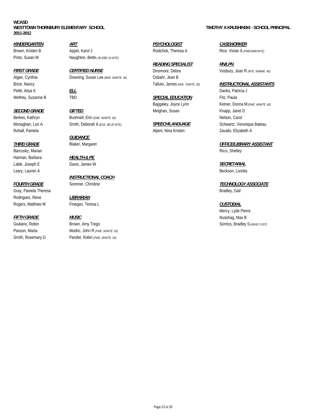### **WCASD** WESTTOWN THORNBURY ELEMENTARY SCHOOL **TIMOTHY A KRUSHINSKI - SCHOOL PRINCIPAL 2011-2012**

Pettit, Atiya K **ELL ELL** Danks, Patricia J

Barcusky, Marian Ricci, Shelley and The Control of the Control of the Control of the Control of the Control of the Control of the Control of the Control of the Control of the Control of the Control of the Control of the Co Hannan, Barbara *HEALTH & PE*  Labik, Joseph E Davis, James W *SECRETARIAL* Leary, Lauren A Beckson, Loretta

Gray, Pamela Theresa **Bradley, Gail** Rodriguez, Rene *LIBRARIAN* Rogers, Matthew M Finegan, Teresa L **CUSTODIAL** 

*KINDERGARTEN ART PSYCHOLOGIST CASEWORKER* Brown, Kristen B **Appel, Karol J** And Brown, Kristen B Rodichok, Theresa A Rice, Vivian A *(PWE/SWE/WTE)* Pinto, Susan M Naughton, Bette (.90 EBE/.10 WTE)

*FIRST GRADE CERTIFIED NURSE* Dinsmore, Debra Vosbury, Joan R *(WTE .60/MHE .40)* Algier, Cynthia Downing, Susan Lee *(MHE .60/WTE .40)* Osbahr, Jean B

*SECOND GRADE GIFTED* Meighan, Susan Knapp, Janet D Berkes, Kathryn **Bushnell, Erin** *(SWE .50/WTE .50)* Nelson, Carol Nelson, Carol Nelson, Carol Nelson, Carol Nelson, Carol Nelson, Carol Nelson, Carol Nelson, Carol Nelson, Carol Nelson, Carol Nelson, Carol Nelson, Carol N Monaghan, Lori A Smith, Deborah K (EGE .80/.20 WTE) **SPEECH/LANGUAGE** Schwartz, Veronique Bateau

*GUIDANCE* 

*INSTRUCTIONAL COACH*

Giuliano, Robin **Brown, Amy Trego** Somics, Bradley S (HEAD CUST) Paxson, Marta Modric, John R (PWE .50/WTE .50) Smith, Rosemary G Pandel, Robin *(PWE .50/WTE .50)*

*READING SPECIALIST RN/LPN* 

Wethey, Suzanne B TBD *SPECIAL EDUCATION* Fitz, Paula

Rohall, Pamela **Alpert, Nina Kristen Zavalis, Elizabeth A**lpert, Nina Kristen Zavalis, Elizabeth A

### Brice, Nancy Talluto, James *(HDE .70/WTE .30) INSTRUCTIONAL ASSISTANTS*

Baggaley, Joyce Lynn Ketner, Donna M (PWE .40/WTE .60)

*THIRD GRADE* Blaker, Margaret *OFFICE/LIBRARY ASSISTANT*

*FOURTH GRADE* Sommer, Christine *TECHNOLOGY ASSOCIATE*

Mercy, Lyde Pierre *FIFTH GRADE MUSIC* Nusshag, Max B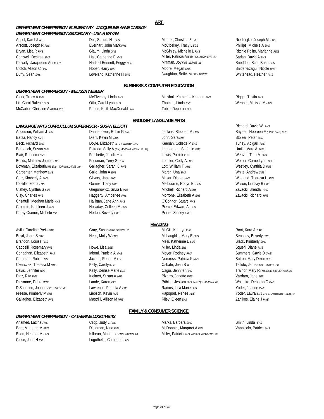### **ART**

### *DEPARTMENT CHAIRPERSON ELEMENTARY - JACQUELINE ANNE CASSIDY DEPARTMENT CHAIRPERSON SECONDARY - LISA R BRYAN*

Appel, Karol J *WTE* Duli, Sandra H *EHS* Maurer, Christina Z *EXE* Niedziejko, Joseph M *EHS* Arscott, Joseph R *RHS* Everhart, John Mark *PMS* McCloskey, Tracy L *EGE* Phillips, Michele A *SMS* Bryan, Lisa R RHS

Colley, Michelle L FMS

Colley, Michelle L FMS

Colley, Michelle L FMS

Ritchie Polito, Marianne PWE Cantwell, Desiree *SMS* **Hall, Catherine E** MHE **MHE** Miller, Patricia Anne *FCS .80/Art EHS .20* Sarian, David A *EHS* Cassidy, Jacqueline Anne FHE **Hartzell Bennett, Peggy** *HHS* Mittman, Joy FMS .40/PMS .40 Sneddon, Scott Brian *HHS* Ciotoli, Alison C *FMS* Hober, Harry *HDE* Moore, Megan *RHS* Snider-Ezagui, Nicole *HHS* Duffy, Sean *SMS* Loveland, Katherine H *SWE* Naughton, Bette *.90 EBE/.10 WTE* Whitehead, Heather *PMS*

### **BUSINESS & COMPUTER EDUCATION**

### *DEPARTMENT CHAIRPERSON - MELISSA WEBBER*

Clark, Tracy A *FMS* McElvenny, Linda *PMS* Minshall, Katherine Keenan *EHS* Riggin, Tristin *FMS* McCarter, Christine Alanna *RHS* Patton, Keith MacDonald *SMS* Tobin, Deborah *HHS*

Lill, Carol Ralene *EHS* Otto, Carol Lynn *RHS* Thomas, Linda *PMS* Webber, Melissa M *HHS*

### **ENGLISH/ LANGUAGE ARTS**

### *LANGUAGE ARTS CURRUCULUM SUPERVISOR - SUSAN ELLIOTT* Richard, David W *RHS*

Anderson, William J *HHS* Dannehower, Robin G *FMS* Jenkins, Stephen M *PMS* Sayeed, Nooreen F *(LTS-E. Donze) RHS* Barsa, Nancy *FMS* Diehl, Kevin M *RHS* John, Sara *EHS* Stolzer, Peter *SMS* Beck, Richard *EHS* Turley, Abigail *RHS* Doyle, Elizabeth *(LTS-J. Bannister) RHS* Keenan, Collette P *EHS* Turley, Abigail *RHS* Berberich, Susan *sMS* Estrada, Sally A *(Eng. 40/Read. 40/Soc St. .20)* Lenderman, Stefanie *FMS* Umile, Marc A *HHS* Blair, Rebecca *PMS* Frechette, Jacob *RHS* Lewis, Patrick *EHS* **EXALGATES** Weaver, Tara M *PMS* Bonds, Matthew James *EHS* **Friedman, Terry S** RHS **Loeffler, Cody A EHS** Weiser, Corrie Lynn *HHS* Bowman, Elizabeth*SMS Eng .40/Read .20/.SS .40* Gallagher, Sarah K *RHS* Lott, William T *HHS* Westley, Cynthia D *FMS* Carpenter, Matthew *SMS* **Gallo, John A** *EHS* Martin, Una *SMS* Martin, Una SMS Martin, Una SMS Carr, Kimberly A *EHS* Gilvary, Jane *EHS* Masar, Diane *HHS* Massing England, Theresa L RHS<br>Castilla, Elena *FMS* Milson, Lindsay B *FMS* Gomez, Tracy *SMS* M Melbourne, Robyn E *RHS* Milson, Lindsay B *FMS* Castilla, Elena FMS
Castilla, Elena FMS
Burne, Robyn E RHS
Castilla, Elena FMS
Burne, Robyn E RHS
Castilla, Elena FMS
Burne, Robyn E RHS
Castilla, Elena FMS
Burne, Robyn E RHS
Castilla, Elena FMS
Burne, Robyn E RHS
Castill Claffey, Cynthia S *SMS* **Gregorowicz, Silvia E** *PMS* Mitchell, Richard A EHS Zavacki, Brenda HHS Clay, Charles *HHS* **Haggerty, Amberlee PMS** Morrone, Elizabeth A *EHS* Zavacki, Richard *HHS* Crisafulli, Meghan Marie *HHS* Halligan, Jane Ann *PMS* O'Connor, Stuart *HHS* Crombie, Kathleen J *RHS* Holladay, Colleen M *SMS* Pierce, Edward A *HHS* Curay Cramer, Michele PMS<br>
Horton, Beverly FMS<br>
Horton, Beverly FMS<br>
Pinnie, Sidney FMS

Avila, Caroline Preis *EGE* Gray, Susan *PWE .50/SWE .50* McGill, Kathryn *FHE* Root, Kara A *GAE*

### **READING**

Boyd, Janet S GAE **Hess, Molly W** FMS McLaughlin, Mary E FMS Senseny, Beverly *swE* Brandon, Louise *PMS* Slack, Kimberly *SMS* **Mesi, Katherine L** *SMS* Slack, Kimberly *SMS* Cappelli, Rosemary *FHE* Howe, Lisa *EGE* Miller, Linda *EHS* Squeri, Diane *PMS* Conaghan, Elizabeth *FMS* Iaboni, Patricia A *MHE* Moyer, Rodney *PMS* Summers, Gayle D *SWE* Nower, Rodney *PMS* Corcoran, Robin *FMS* Jacobs, Renee M *EBE* Norcross, Patricia K *RHS* Sutton, Mary Dixon *HHS* Czenszak, Theresa M *MHE* **Kelly, Carolyn** EXE **CZENICOS** Osbahr, Jean B *WTE* Talluto, James *HDE .70/WTE .30* Diaz, Rita *FMS* Kleinert, Susan A *HHS* Pizarro, Janette *PMS* Vardaro, Jane *EBE* Dinsmore, Debra *WTE* Lande, Karen *EXE* Pribish, Jessica *SMS Read Spc .40/Read .60* Whitmire, Deborah C *GAE* DiSabatino, Joanne *EXE .60/EBE .40* Lawrence, Pamela A *FMS* Ramos, Lisa Marie *SMS* Yoder, Joanne *PWE* Gallagher, Elizabeth FHE **Mastrilli, Allison M** MHE Riley, Eileen EHS **Riley, Eleen EHS** Zanikos, Elaine J *PWE* 

### **FAMILY & CONSUMER SCIENCE**

*DEPARTMENT CHAIRPERSON - CATHERINE LOGOTHETIS*

Ahamed, Lazina *PMS* Czop, Judy L *RHS* Marks, Barbara *SMS* Smith, Linda *EHS* Close, Jane H *PMS* Logothetis, Catherine *HHS*

Barr, Margaret M *FMS* **Dintaman, Nina** *FMS* **Dintaman, Nina** FMS **McDonnell, Margaret A** EHS Vannicolo, Patrice *SMS* Brien, Heather M *HHS* Killoran, Marianne *FMS .40/PMS .20* Miller, Patricia *RHS .40/SMS .40/Art EHS .20* 

Davis, Jennifer *HDE* **Kelly, Denise Marie** *EGE* Ozgur, Jennifer *PMS* Trainor, Mary R FMS Read Spc. 80/Read .20 Freese, Kimberly M *RHS* **Report Alternative Construct Construct** Construction Construction Construction Construction Construction Construction Construction Construction Construction Construction Construction Construction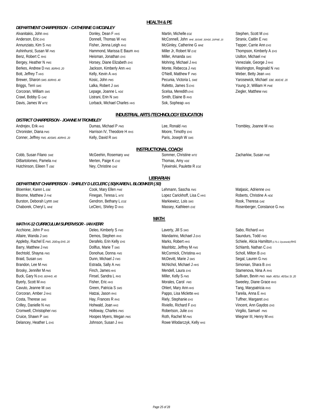### **HEALTH & PE**

### *DEPARTMENT CHAIRPERSON - CATHERINE G MCGINLEY*

Crawl, Bobby G *GAE* Listrani, Erin N *SMS* Smith, Elaine B *RHS* Davis, James W *WTE* **Lorback, Michael Charles** *HHS* Sok, Sopheap *HHS* 

### Alvanitakis, John *RHS* Donley, Dean F *HHS* Martin, Michelle *EGE* Stephen, Scott M *EHS* Anderson, Eric *EHS* Donnell, Thomas W *FMS* McConnell, John *MHE .30/SWE .30/HDE .20/PWE .20* Stranix, Caitlin E *FMS* Annunziato, Kim S *PMS* Fisher, Jenna Leigh *RHS* McGinley, Catherine G *MHE* Tepper, Carrie Ann *EHS* Ashinhurst, Susan W *PMS* Hammond, Marissa E Baum *RHS* Miller Jr, Robert W *EXE* Thompson, Kimberly A *EHS* Miller Jr, Robert W *EXE* Benz, Robert C *RHS* Heisman, Jonathan *EHS* Miller, Amanda *SMS* Usilton, Michael *FHE* Bergey, Heather N *PMS* **Horsey, Diane Elizabeth** *EHS* Mohring, Michael J RHS Veneziale, George J RHS Berkes, Andrew D *FMS .80/RHS .20* Jackson, Kimberly Ann *HHS* Monte, Rebecca J *FMS* Mashington, Reginald N *FMS* Bott, Jeffrey T<sub>HHS</sub> Weber, Betty Jean *HHS* Kelly, Kevin A *HHS* O'Neill, Matthew F *PMS* Weber, Betty Jean *HHS* Brewer, Sharon *SMS .60/RHS .40* Kosic, John *PMS* Pecunia, Victoria L *SWE* Yarosewick, Michael *EBE .80/EXE .20* Briggs, Terri *SMS* Lalka, Robert J *SMS* Rafetto, James S *EHS* Young Jr, William H *PWE* Corcoran, William *sMS* **Sceller, Matthew FMS** Lepage, Joanne L *HDE* Scelsa, Meredith *EHS* **Ziegler, Matthew** FMS

### **INDUSTRIAL ARTS /TECHNOLOGY EDUCATION**

*DISTRICT CHAIRPERSON - JOANNE M TROMBLEY* Andrejev, Erik *HHS* Dumas, Michael P *PMS* Lee, Ronald *FMS* Trombley, Joanne M *FMS* Chronister, Diana *PMS* **Harrison IV, Theodore H** RHS Moore, Timothy *EHS* Conner, Jeffrey FMS. AOISMS. AOIRHS. 20 Kelly, David R SMS **Paris, Joseph W SMS** 

## **INSTRUCTIONAL COACH**

Cobb, Susan Filano *SWE* McGeehin, Rosemary *MHE* Sommer, Christine *WTE* Zacharkiw, Susan *PWE* DiBartolomeo, Pamela FHE Merten, Paige K EXE Thomas, Amy *HDE* Hutchinson, Eileen T *EBE* Ney, Christine *GAE* Tykwinski, Paulette R *EGE*

### **LIBRARIAN**

### *DEPARTMENT CHAIRPERSON - SHIRLEY D LECLERC (.50)/KAREN L BLOEMKER (.50)*

Bloemker, Karen L *EBE* Cook, Mary Ellen *PWE* Lehmann, Sascha *FMS* Matjasic, Adrienne *EHS*

### **MATH**

Acchione, John P RHS<br>
Deleo, Kimberly S *FMS* Laverty, Jill S SMS<br>
Laverty, Jill S SMS

Chaborek, Cheryl L *MHE* LeClerc, Shirley D *RHS* Massey, Kathleen *EXE* Rosenberger, Constance G *PMS* 

Appleby, Rachel E *PMS .20/Eng EHS .20* Derafelo, Erin Kelly *EHS* Marks, Robert *HHS* Schiele, Alicia Hamilton *(LTS-J. Dyczewski)RHS* Finsel, Sandra L *RHS* **EHS 2000 CONFINE CONFINERED CONFINENCE** SCALL **S** Sullivan, Bevin *PMS Math .40Sci .40Soc St .20*<br>Fisher. Fric *HHS* **Synceley, Diane Grace** *RHS* Sweeley, Diane Grace *RHS* 

## Bloome, Matthew J *FHE* Finegan, Teresa L *WTE* Lopez Carickhoff, Lisa C *HHS* Roberts, Christine A *HDE* Burston, Deborah Lynn *swe* **Gendron, Bethany L** EGE Markiewicz, Lois *sws* Rook, Theresa *GAE*

### *MATH K-12 CURRICULUM SUPERVISOR - IAN KERR*

Allaire, Wanda J *SMS* **Demos, Stephen** *RHS* Mandarino, Michael J *EHS* Saundurs, Todd *FMS* Barry, Matthew J<sub>FMS</sub> Schlamb, Nathan C *EHS* Dollfus, Marie T *SMS* Mashbitz, Jeffrey M *FMS* Schlamb, Nathan C *EHS* Bechtold, Shayna *FMS* **Donohue, Donohue, Donna** *FMS* McCormick, Christina *HHS* Scholl, Milton B *EHS* Scholl, Milton B *EHS* Braid, Susan *SMS* Dunn, Michael J *FMS* McDevitt, Marie J *SMS* Segal, Lauren G *PMS* Brandon, Lee M *PMS* **Estrada, Sally A** *PMS* **Extragally A** *PMS* **McNichol, Michael J** *HHS* **Simonian, Shara B** *EHS* Brosky, Jennifer M *PMS* **Finch, James HHS** American Stamenova, Nina A *RHS* Mendell, Laura *EHS* Stamenova, Nina A *RHS* Buck, Gary N *EHS .601HIS .40* Sullivan, Bevin *PMS Math*. Byerly, Scott M *RHS* Fisher, Eric *HHS* Morales, Carol *FMS* Morales, Carol *FMS* Sweeley, Diane Grace *RHS* Sweeley, Diane Grace *RHS* Cavuto, Jeanne M *sms* **Green, Patricia S SMS** Ohlert, Mary Ann *HHS* Tang, Marypatricia *RHS* Corcoran, Amber J *RHS* Hatzai, Jason *RHS* Pappo, Lisa Miclette *HHS* Tareila, Anna E *RHS* Costa, Therese *SMS* Hay, Frances R *RHS* Riely, Stephanie *EHS* Tuffner, Margaret *EHS* Crilley, Danielle N *PMS* Hohwald, Joan *HHS* Riviello, Richard F *EHS* Vincent, Ann Gaydos *EHS* Cromwell, Christopher *FMS* Holloway, Charles *PMS* Robertson, Julie *EHS* Virgilio, Samuel *PMS* Cruice, Shawn P *SMS* Hoopes Myers, Megan *PMS* Roth, Rachel M *PMS* Wiegner III, Henry M *HHS* Delancey, Heather L *EHS* Johnson, Susan J RHS
Beancey, Heather L EHS
Solution And Alton Susan J RHS
Solution And Alton Rowe Wlodarczyk, Kelly HHS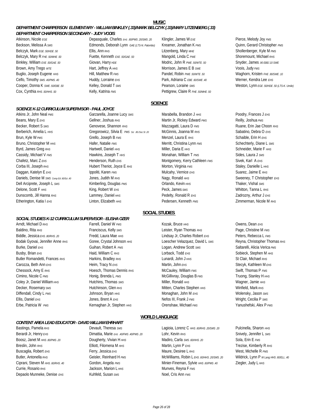### **MUSIC**

### *DEPARTMENT CHAIRPERSON ELEMENTARY - WILLIAM BINKLEY (.33)/MARK BELCZYK (.33)/MARY LITZENBERG (.33) DEPARTMENT CHAIRPERSON SECONDARY - JUDY VOOIS*

Atkinson, Nicole *EGE* Depasquale, Charles *EHS .60/PMS .20/SMS .20* Klingler, James W *EXE* Pierce, Melody Joy *FMS*

### *SCIENCE K-12 CURRICULUM SUPERVISOR - PAUL JOYCE*

Atkins Jr, John Neal *PMS* Garzarella, Joanne Lucy *SMS* Marabella, Brandon J *HHS* Poodry, Frances J *EHS* Beans, Mary E *EHS* Gellner, Joshua *RHS* Martin Jr, Rickey Edward *PMS* Reilly, Joshua *PMS* Becker, Robert S *sMS* Genovese, Shannon *RHS* Mazzagatti, Laura D *FMS* Ruane, Erin Jae Choon *RHS* Ruane, Erin Jae Choon *RHS* Berberich, Amelia L *HHS* Gregorowicz, Silvia E *PMS sci .80.50c St .20* McGinnis, Joanna M *RHS* Sabatino, Debra O *EHS* Brun, Kyle W *PMS* Schaible, Erin H *EHS* Grello, Joseph B *FMS* Menzel, Laura E *RHS* Schaible, Erin H *EHS* Bruno, Christopher M *HHS* Hafer, Natalie *FMS* Merritt, Christina Lynn *FMS* Schechterly, Diane L *SMS* Byrd, James Greg *RHS* Schneider, Marie F *HHS* Miller, Daniel *HHS* Miller, Daria E *HHS* Schneider, Marie F *HHS* Cassidy, Michael V *FMS* **Hawkins, Joseph T** *HHS* Monahan, William T *PMS* Sides, Laura J *SMS* Chafetz, Marc Z *EHS* Henderson, Ruth *EHS* Montgomery, Kerry Cathleen *FMS* Sivek, Karl A *EHS* Corba III, Joseph RHS
Corba III, Joseph RHS
Corba III, Joseph RHS
Corba III, Joseph RHS
Corba III, Joseph RHS
Corba III, Joseph RHS
Corba III, Joseph RHS
Corba III, Joseph RHS
Corba III, Joseph RHS
Corba III, Joseph RHS
Co Daggan, Katelyn E *EHS* Inpoliti, Karen *FMS* Suarez, Jaime E *RHS* Mulcahy, Vernice *EHS* Suarez, Jaime E *RHS* Suarez, Jaime E *RHS* Daniels, Denise M *SMS Comp Ed .60Sci .40* Jones, Judith M *RHS* Nagy, Ronald *HHS* Nagy, Ronald *HHS* Sweeney, T Christopher *EHS*<br>Dell Arciprete, Joseph L *SMS* Nagy Namberling, Douglas *PMS* Science Chando, Kevin HHS St Dell Arciprete, Joseph L *sms* Kimberling, Douglas *PMS* Mando, Kevin HHS Delone, Scott F *HHS* King, Robert W *EHS* Peck, James *SMS* Whitton, Tanna L *RHS* Dunscomb, Jill Hanna *RHS* Lammey, Daniel *HHS* Pedelty, Ronald R *EHS* Zadrozny, Arthur J *EHS* Etherington, Katia I *EHS* Linton, Elizabeth *HHS* Pedersen, Kenneth *PMS* Zimmerman, Nicole M *RHS*

### *SOCIAL STUDIES K-12 CURRICULUM SUPERVISOR - ELISHA OZER*

*CONTENT AREA LEAD EDUCATOR - DAVID WILLIAM EHRHART*

Beckson, Melissa A *SMS* Edmonds, Deborah Lynn *GAE (LTS-N. Palombo)* Kreamer, Jonathan K *PMS* Quinn, Gerard Christopher *PMS* Belczyk, Mark *EGE 50HDE 50* Ellis, Ann *RHS* Litzenberg, Mary *MHE* Shollenberger, Kyle M *PMS* Shollenberger, Kyle M *PMS* Belczyk, Mary R *FHE .50/MHE .50* Fuette, Kenneth *EXE .50/GAE .50* Mangold, Linda C *PWE* Shoremount, Michael RHS Binkley, William *EXE .50/GAE .50* Giovan, Harry *HDE* Modric, John R *PWE .50/WTE .50* Snyder, James .90 EBE/.10 SWE Brown, Amy Trego *WTE* **Hart, Jeffrey A** *HHS* Morrison, James E B *swe* Voois, Judy FMS Buglio, Joseph Eugene *HHS* **Hill, Matthew R** FMS **PAND** Pandel, Robin *PWE .50/WTE .50* Waghorn, Kristen *FHE .90/SWE .10* Celfo, Timothy *SMS .40/PMS .40* Huddy, Lorraine *EHS* Park, Adriana C *EBE .60/SWE .40* Werner, Kendra Lee *EHS* Cooper, Donna K *swE .50/EBE .50* Kelley, Donald T *sms* Pearson, Loraine *sms* Weston, Lynn EGE .50/HDE .50 (LTS-K. Umile) Cox, Cynthia RHS .50/HHS .50 **Kelly, Katrina FMS** Pettigrew, Claire R FHE .50/MHE .50

### **SCIENCE**

### **SOCIAL STUDIES**

Arndt, Michael D *RHS* Farrell, Daniel W *FMS* Kozak, Bruce *HHS* Owens, Dean *EHS* Baldino, Rita *RHS* Franciscus, Kelly *SMS* Leister, Ryan Thomas *RHS* Page, Christine M *FMS* Biddle, Jessica *EHS .80/RHS .20* Fredd, Laura Mae *HHS* Lindsay Jr, Charles Robert *EHS* Peters, Rebecca L *FMS* Bodak Gyovai, Jennifer Anne *RHS* Goree, Crystal Johnson *HHS* Loescher Velazquez, David L *SMS* Reyna, Christopher Thomas *RHS* Burke, Daniel *EHS* Guihan, Robert A *PMS* Logan, Andrew Scott *SMS* Saltarelli, Alicia Verica *PMS* Busby, Brian *EHS* Haid, William C *RHS* Lorback, Todd *EHS* Sobieck, Stephen M *HHS* Butler Romandetti, Frances *RHS* Harkins, Bradley *RHS* Lunardi, John J *HHS* St Clair, Michael *RHS* Carozza, Beth Ann *EHS* Heim, Tracy N *EHS* Martin, John *EHS* Stecyk, Kathleen M *EHS* Chessock, Amy E *RHS* Hoesch, Thomas Dennis *RHS* McCauley, William *FMS* Swift, Thomas P *FMS* Cimino, Nicole C *PMS* **Honig, Brenda L** *PMS* **McGillivray, Douglas B** *FMS* **Truong, Stanley H** *HHS* **HHS** Coley Jr, Daniel William *HHS* Hutchins, Thomas *SMS* Miller, Ronald *HHS* Magner, Jamie *HHS* Wagner, Jamie *HHS* Decker, Rosemary *SMS* Hutchinson, Glen *RHS* Mitten, Charles Stephen *HHS* Winfield, Mark *RHS* Diffendall, Cindy L *PMS* Johnson, Bryan *HHS* Monaghan, John M *EHS* Wolensky, Jason *SMS* Ellis, Daniel *EHS* Jones, Brent A *EHS* Nefos III, Frank J *FMS* Wright, Cecilia P *SMS* Erbe, Patricia W *PMS* Kernaghan Jr, Stephen *HHS* Orenshaw, Michael *FMS* Yanushefski, Alex P *PMS*

### **WORLD LANGUAGE**

Bastings, Pamela RHS<br>
Devault, Theresa *SMS* Contract Devalues Lagioia, Lorenz C *HHS .60/RHS .20/SMS .20* Pulcinella, Sharon *HHS* 

Currie, Rosario *RHS* Jackson, Marion L *HHS* Munves, Reyna F *FMS* Depaolo Munneke, Denise *EHS* Kuhfeld, Susan *SMS* Noel, Cris Ann *FMS*

Berardi Jr, Henry *EHS* **Dimattia, Marie** *EHS .40/FMS .40/PMS .20* **Lohr, Kevin** *RHS* **Snively, Jennifer L** *SMS* **Snively, Jennifer L** *SMS* Boosz, Janet M *HHS .80/PMS .20* **Dougherty, Vivian H** HHS Madiro, Carla *SMS .60/HHS .20* Sola, Erin E *FMS* Breslin, John *RHS* **Elliott, Filomena M** *HHS* Martin, Lynn P *EHS* Martin, Lynn P *EHS* Trezise, Kimberly R *RHS* Buscaglia, Robert *EHS* Ferry, Jessica *EHS* Maure, Desiree L RHS Masses Machine Mest, Michelle R PMS Butler, Antonella RHS **CELL .40** Geisler, Reinhard H PMS McWilliams, Robin L *EHS .60HHS .20/SMS .20* Wildrick, Lynn P *W Lang HHS .60/ELL .40* Ciprani, Steven M *HHS .60/RHS .40* Gordon, Angela *PMS* Minier-Fineman, Sylvie *HHS .60/PMS .40* Ziegler, Judy L HHS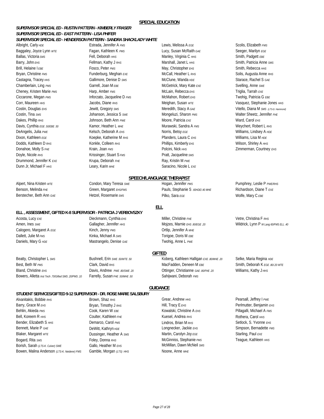### **SPECIAL EDUCATION**

### *SUPERVISOR SPECIAL ED - HENDERSON PATTERN - SANDRA SHACKLADY WHITE SUPERVISOR SPECIAL ED - RUSTIN PATTERN - KIMBERLY FRASER SUPERVISOR SPECIAL ED - EAST PATTERN - LISA PHIFER*

Baggaley, Joyce Lynn *wTE* **Fagan, Kathleen K** *PMS* Lucy, Susan McRaith GAE Seeger, Marilyn *EGE* Ballas, Victoria *SMS* Smith, Padgett *EBE* Fell, Deborah *HHS* Manley, Virginia C *HHS* Smith, Padgett *EBE* Barry, John *EHS* Smith, Patricia Anne SMS **Fellman, Kathy J** RHS MARS Marshall, Janet L HHS SMS Smith, Patricia Anne SMS Brill, Helaine I EBE FOSCO, Peter PMS **May, Christopher EHS**Smith, Rebecca HHS
Smith, Rebecca HHS
Smith, Rebecca HHS
Smith, Rebecca HHS
Smith, Rebecca HHS
Smith, Rebecca HHS
Smith, Rebecca HHS
Smith, Rebecca HHS
Smith, Re Bryan, Christine *FMS* Funderburg, Meghan *EXE* McCall, Heather L *RHS* Solis, Augusta Anne *RHS* Solis, Augusta Anne *RHS* Castagna, Tracey *HHS* Gallimore, Denise D *SMS* McClune, Wanda *HDE* Starace, Rachel S *GAE* Starace, Rachel S *GAE* Chamberlain, Ling *PMS* Garrell, Joan M *EBE* McGetrick, Mary Kate *EXE* Svelling, Anne *SWE* Cheney, Kristen Marie *PMS* Harp, Amber *FMS* McLain, Rebecca *EHS* Triglia, Tarrah *EXE* Ciccarone, Megan *PMS* Inforzato, Jacqueline D *FMS* McMahon, Robert *EHS* Twohig, Patricia G *EBE* Corr, Maureen *HHS* Jacobs, Diane *RHS* Meighan, Susan *WTE* Vasquez, Stephanie Jones *HHS* Costin, Douglas *EHS* **State of Costing Construction** Jewitt, Gregory *SMS* **Costing Costing Costing Construction** Costing Costing Of *LTS-D. Hammond*) Costin, Tina *SMS* **Monume State State Server State State State State Mongeluzi, Sharon** *PMS* **Walter Sheetz, Jennifer** *FHE* Dakes, Phillip *RHS* Johnson, Beth Ann *PWE* Moore, Patricia *EXE* Ward, Carol *EHS* Davis, Cynthia *EGE .50/EBE .50* Kamor, Heather L *MHE* Murawski, Sandra A *FMS* Murawski, Sandra A *FMS* Weychert, Robert L *RHS* Dixon, Kathleen *EGE* **Reading Community Community** Coepke, Katherine M *RHS* Pfanders, Laura C *EHS* Williams, Lisa M *HDE*<br>Dodds, Kathleen D *RHS* Wilson, Shirley A *HHS* Konkle, Colleen *RHS* Phillips, Kimberly *EHS* Wi Dodds, Kathleen D RHS<br>
Konkle, Colleen RHS

References And Phillips, Kimberly EHS Donahoe, Molly S *FHE* Krain, Joan *FMS* Polcini, Nick *HHS* Zimmerman, Courtney *EHS* Doyle, Nicole *RHS* Krissinger, Stuart S *FMS* Pratt, Jacqueline *SMS*

DeAngelis, Julia *PWE* Kelsch, Deborah A *EHS* Norris, Betsy *EGE* Williams, Lindsey A *HDE* Drummond, Jennifer K *EXE* Krupa, Deborah *FHE* Ray, Kristin M *PWE* Dunn Jr, Michael F *HHS* Leary, Karin *MHE* Saracino, Nicole L *EXE*

Albright, Carly *HDE* Estrada, Jennifer A *FMS* Lewis, Melissa A *EGE* Scolis, Elizabeth *FMS*

### **SPEECH/LANGUAGE THERAPIST**

Alpert, Nina Kristen *WTE* Condon, Mary Teresa *SWE* Hogan, Jennifer *PMS* Pumphrey, Leslie P *PWE/RHS* Benson, Melinda FHE **Green, Margaret** *EHS/FMS* Pauls, Stephanie S *.60HDE/.40 MHE* Richardson, Diane T *EXE* Berstecher, Beth Ann *GAE* Hetzel, Rosemarie *SMS* Pilko, Sara *EGE* Wolfe, Mary C *EBE*

### **ELL**

### **ELL , ASSESSMENT, GIFTED K-8 SUPERVISOR - PATRICIA J VERBOVSZKY**

Acosta, Lucy *EXE* Dieckmann, Cynthia *EHS* Miller, Christine *FHE* Vetre, Christina F *RHS*<br>Amen, Ines *swe* Sallagher, Jennifer *HHS* Mojzes, Marnie *EHS .80/EGE .20* Wildrick, Lynn P *W Lang* Calogero, Margaret A *EGE* Kinch, Jenny *PMS* Calogero, Margaret A *MHE* 

Dallett, Julie M *FMS* Kinka, Michael A *SMS* Torigoe, Doris M *EBE* Daniels, Mary G *HDE* Mastrangelo, Denise *GAE* Twohig, Anne L *PWE* 

Bowers, Alletta *Inst Tech .70/Gifted SMS .20/PMS .10* Farrelly, Susan FHE .50/MHE .50 Sahijwani, Deborah FMS

Amen, Ines *swE* Sallagher, Jennifer *HHS* Mojzes, Marnie *EHS .80/EGE .20* Wildrick, Lynn P *W Lang 60/FMS ELL .40* 

**GUIDANCE**

# **GIFTED**

Beatty, Christopher L *sMS* Bushnell, Erin *swE .50/WTE .50* Koberg, Kathleen Halligan *EXE .80/MHE .20* Selke, Maria Regina *HDE* Best, Beth W *PMS* Clark, David *RHS* Clark, David *RHS* MacFadden, Deneen M *EBE* Smith, Deborah K *EGE .80/.20 WTE* Bland, Christine *EHS* Davis, Andrew *PWE .80/SWE .20* Ottinger, Christianne *GAE .80/FHE .20* Williams, Kathy J *HHS*

### **STUDENT SERVICES/GIFTED 9-12 SUPERVISOR - DR. ROSE MARIE SALSBURY**

Alvanitakis, Bobbie *RHS* Brown, Shaz *RHS* Grear, Andrew *HHS* Pearsall, Jeffrey I *PWE* Barry, Grace M *EHS* Bryan, Timothy J *RHS* Bryan, The State Method of Hill, Tracy E *EHS* Perlmutter, Benjamin *EHS* Behlin, Akieda *PMS* Cook, Karen W *EBE* Kowalski, Christine A *EHS* Pillagalli, Michael A *FMS* Bell, Koreem R *HHS* Coulter, Kathleen *FHE* Kuesel, Andrea *RHS* Rothera, Carol *HHS* Bender, Elizabeth S *HHS* Demarco, Carol *PMS* Lindros, Brian M *RHS* Setlock, S. Yvonne *EHS* Bennett, Marie P *GAE* DeWitt, Kathryn *HDE* **DeWitt, Kathryn** HDE **Longnecker, Jackie EHS** Simpson, Bernadette FMS Blaker, Margaret *WTE* Dussinger, Heather A *SMS* Martin, Carolyn Joy *EGE* Starling, Paul *EXE* Bogard, Rita *sMS* Foley, Donna *RHS* **Foley, Donna** *RHS* McGinniss, Stephanie *PMS* Teague, Kathleen *HHS* Borish, Sarah *(LTS-K. Culver) SWE* Gallo, Heather M *EHS* McMillan, Dawn McNeil *SMS* Bowen, Malina Anderson *(LTS-K. Neiderer) FMS* Gamble, Morgan *(LTS) HHS* Noone, Anne *MHE*